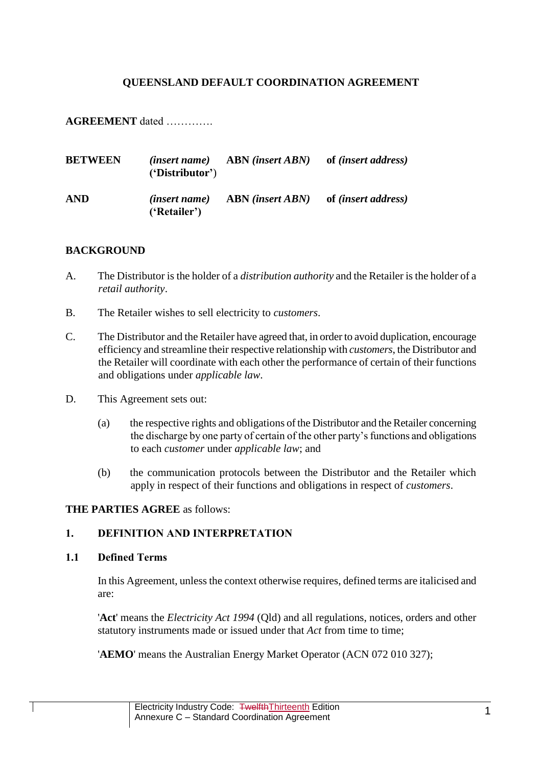## **QUEENSLAND DEFAULT COORDINATION AGREEMENT**

**AGREEMENT** dated ………….

| <b>BETWEEN</b> | 'Distributor'                        | $(inset name)$ ABN $(inset ABN)$ | of <i>(insert address)</i> |
|----------------|--------------------------------------|----------------------------------|----------------------------|
| <b>AND</b>     | <i>(insert name)</i><br>('Retailer') | <b>ABN</b> (insert <i>ABN</i> )  | of <i>(insert address)</i> |

### **BACKGROUND**

- A. The Distributor is the holder of a *distribution authority* and the Retailer is the holder of a *retail authority*.
- B. The Retailer wishes to sell electricity to *customers*.
- C. The Distributor and the Retailer have agreed that, in order to avoid duplication, encourage efficiency and streamline their respective relationship with *customers*, the Distributor and the Retailer will coordinate with each other the performance of certain of their functions and obligations under *applicable law*.
- D. This Agreement sets out:
	- (a) the respective rights and obligations of the Distributor and the Retailer concerning the discharge by one party of certain of the other party's functions and obligations to each *customer* under *applicable law*; and
	- (b) the communication protocols between the Distributor and the Retailer which apply in respect of their functions and obligations in respect of *customers*.

#### **THE PARTIES AGREE** as follows:

# **1. DEFINITION AND INTERPRETATION**

#### <span id="page-0-0"></span>**1.1 Defined Terms**

In this Agreement, unless the context otherwise requires, defined terms are italicised and are:

'**Act**' means the *Electricity Act 1994* (Qld) and all regulations, notices, orders and other statutory instruments made or issued under that *Act* from time to time;

'**AEMO**' means the Australian Energy Market Operator (ACN 072 010 327);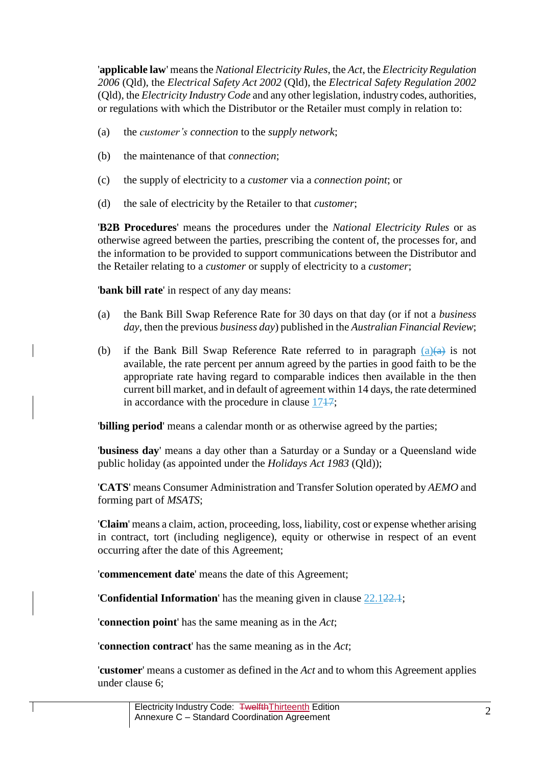'**applicable law**' means the *National Electricity Rules*, the *Act*, the *Electricity Regulation 2006* (Qld), the *Electrical Safety Act 2002* (Qld), the *Electrical Safety Regulation 2002* (Qld), the *Electricity Industry Code* and any other legislation, industry codes, authorities, or regulations with which the Distributor or the Retailer must comply in relation to:

- (a) the *customer's connection* to the *supply network*;
- (b) the maintenance of that *connection*;
- (c) the supply of electricity to a *customer* via a *connection point*; or
- (d) the sale of electricity by the Retailer to that *customer*;

'**B2B Procedures**' means the procedures under the *National Electricity Rules* or as otherwise agreed between the parties, prescribing the content of, the processes for, and the information to be provided to support communications between the Distributor and the Retailer relating to a *customer* or supply of electricity to a *customer*;

'**bank bill rate**' in respect of any day means:

- <span id="page-1-0"></span>(a) the Bank Bill Swap Reference Rate for 30 days on that day (or if not a *business day*, then the previous *business day*) published in the *Australian Financial Review*;
- (b) if the Bank Bill Swap Reference Rate referred to in paragraph  $(a)(a)$  is not available, the rate percent per annum agreed by the parties in good faith to be the appropriate rate having regard to comparable indices then available in the then current bill market, and in default of agreement within 14 days, the rate determined in accordance with the procedure in clause [1717;](#page-23-0)

'**billing period**' means a calendar month or as otherwise agreed by the parties;

'**business day**' means a day other than a Saturday or a Sunday or a Queensland wide public holiday (as appointed under the *Holidays Act 1983* (Qld));

'**CATS**' means Consumer Administration and Transfer Solution operated by *AEMO* and forming part of *MSATS*;

'**Claim**' means a claim, action, proceeding, loss, liability, cost or expense whether arising in contract, tort (including negligence), equity or otherwise in respect of an event occurring after the date of this Agreement;

'**commencement date**' means the date of this Agreement;

'**Confidential Information**' has the meaning given in clause [22.122.1;](#page-29-0)

'**connection point**' has the same meaning as in the *Act*;

'**connection contract**' has the same meaning as in the *Act*;

'**customer**' means a customer as defined in the *Act* and to whom this Agreement applies under clause [6;](#page-9-0)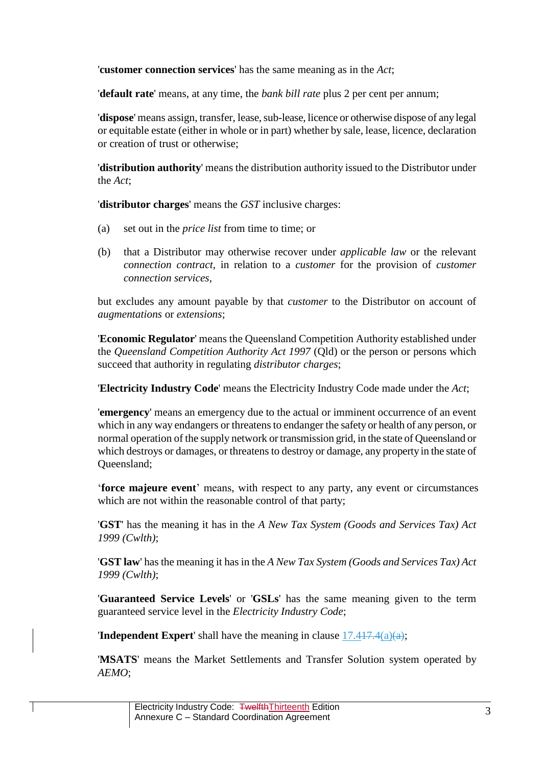'**customer connection services**' has the same meaning as in the *Act*;

'**default rate**' means, at any time, the *bank bill rate* plus 2 per cent per annum;

'**dispose**' means assign, transfer, lease, sub-lease, licence or otherwise dispose of any legal or equitable estate (either in whole or in part) whether by sale, lease, licence, declaration or creation of trust or otherwise;

'**distribution authority**' means the distribution authority issued to the Distributor under the *Act*;

'**distributor charges**' means the *GST* inclusive charges:

- (a) set out in the *price list* from time to time; or
- (b) that a Distributor may otherwise recover under *applicable law* or the relevant *connection contract*, in relation to a *customer* for the provision of *customer connection services*,

but excludes any amount payable by that *customer* to the Distributor on account of *augmentations* or *extensions*;

'**Economic Regulator**' means the Queensland Competition Authority established under the *Queensland Competition Authority Act 1997* (Qld) or the person or persons which succeed that authority in regulating *distributor charges*;

'**Electricity Industry Code**' means the Electricity Industry Code made under the *Act*;

'**emergency**' means an emergency due to the actual or imminent occurrence of an event which in any way endangers or threatens to endanger the safety or health of any person, or normal operation of the supply network or transmission grid, in the state of Queensland or which destroys or damages, or threatens to destroy or damage, any property in the state of Queensland;

'**force majeure event**' means, with respect to any party, any event or circumstances which are not within the reasonable control of that party;

'**GST**' has the meaning it has in the *A New Tax System (Goods and Services Tax) Act 1999 (Cwlth)*;

'**GST law**' has the meaning it has in the *A New Tax System (Goods and Services Tax) Act 1999 (Cwlth)*;

'**Guaranteed Service Levels**' or '**GSLs**' has the same meaning given to the term guaranteed service level in the *Electricity Industry Code*;

**'Independent Expert'** shall have the meaning in clause  $17.417.4(a)(a)$ ;

'**MSATS**' means the Market Settlements and Transfer Solution system operated by *AEMO*;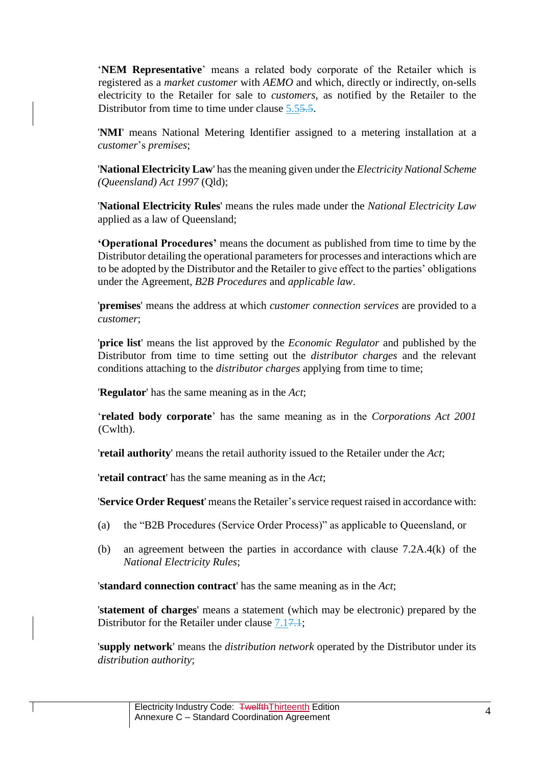'**NEM Representative**' means a related body corporate of the Retailer which is registered as a *market customer* with *AEMO* and which, directly or indirectly, on-sells electricity to the Retailer for sale to *customers*, as notified by the Retailer to the Distributor from time to time under clause [5.55.5.](#page-8-0)

'**NMI**' means National Metering Identifier assigned to a metering installation at a *customer*'s *premises*;

'**National Electricity Law**' has the meaning given under the *Electricity National Scheme (Queensland) Act 1997* (Qld);

'**National Electricity Rules**' means the rules made under the *National Electricity Law* applied as a law of Queensland;

**'Operational Procedures'** means the document as published from time to time by the Distributor detailing the operational parameters for processes and interactions which are to be adopted by the Distributor and the Retailer to give effect to the parties' obligations under the Agreement, *B2B Procedures* and *applicable law*.

'**premises**' means the address at which *customer connection services* are provided to a *customer*;

'**price list**' means the list approved by the *Economic Regulator* and published by the Distributor from time to time setting out the *distributor charges* and the relevant conditions attaching to the *distributor charges* applying from time to time;

'**Regulator**' has the same meaning as in the *Act*;

'**related body corporate**' has the same meaning as in the *Corporations Act 2001*  (Cwlth).

'**retail authority**' means the retail authority issued to the Retailer under the *Act*;

'**retail contract**' has the same meaning as in the *Act*;

'Service Order Request' means the Retailer's service request raised in accordance with:

- (a) the "B2B Procedures (Service Order Process)" as applicable to Queensland, or
- (b) an agreement between the parties in accordance with clause 7.2A.4(k) of the *National Electricity Rules*;

'**standard connection contract**' has the same meaning as in the *Act*;

'**statement of charges**' means a statement (which may be electronic) prepared by the Distributor for the Retailer under clause [7.17.1;](#page-9-1)

'**supply network**' means the *distribution network* operated by the Distributor under its *distribution authority*;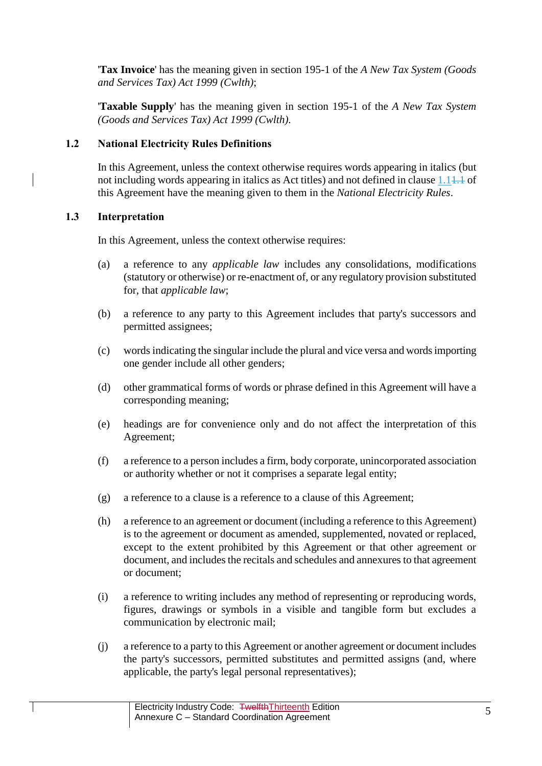'**Tax Invoice**' has the meaning given in section 195-1 of the *A New Tax System (Goods and Services Tax) Act 1999 (Cwlth)*;

'**Taxable Supply**' has the meaning given in section 195-1 of the *A New Tax System (Goods and Services Tax) Act 1999 (Cwlth)*.

# **1.2 National Electricity Rules Definitions**

In this Agreement, unless the context otherwise requires words appearing in italics (but not including words appearing in italics as Act titles) and not defined in claus[e 1.11.1](#page-0-0) of this Agreement have the meaning given to them in the *National Electricity Rules*.

# **1.3 Interpretation**

In this Agreement, unless the context otherwise requires:

- (a) a reference to any *applicable law* includes any consolidations, modifications (statutory or otherwise) or re-enactment of, or any regulatory provision substituted for, that *applicable law*;
- (b) a reference to any party to this Agreement includes that party's successors and permitted assignees;
- (c) words indicating the singular include the plural and vice versa and words importing one gender include all other genders;
- (d) other grammatical forms of words or phrase defined in this Agreement will have a corresponding meaning;
- (e) headings are for convenience only and do not affect the interpretation of this Agreement;
- (f) a reference to a person includes a firm, body corporate, unincorporated association or authority whether or not it comprises a separate legal entity;
- (g) a reference to a clause is a reference to a clause of this Agreement;
- (h) a reference to an agreement or document (including a reference to this Agreement) is to the agreement or document as amended, supplemented, novated or replaced, except to the extent prohibited by this Agreement or that other agreement or document, and includes the recitals and schedules and annexures to that agreement or document;
- (i) a reference to writing includes any method of representing or reproducing words, figures, drawings or symbols in a visible and tangible form but excludes a communication by electronic mail;
- (j) a reference to a party to this Agreement or another agreement or document includes the party's successors, permitted substitutes and permitted assigns (and, where applicable, the party's legal personal representatives);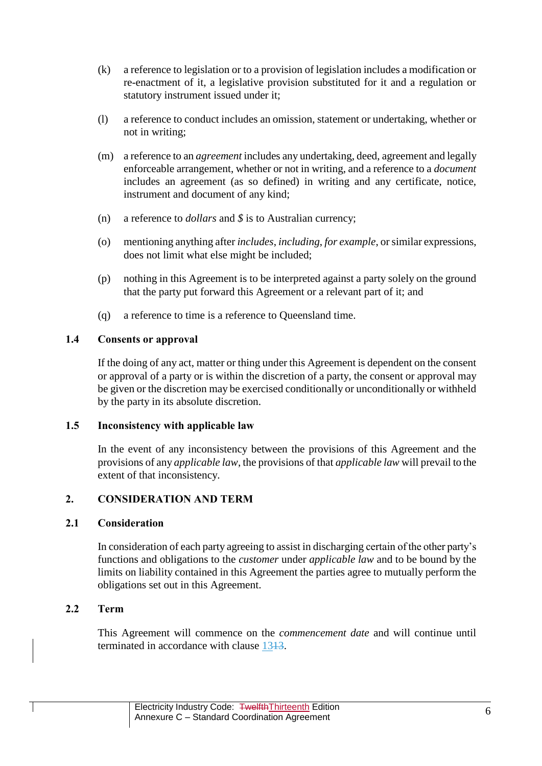- (k) a reference to legislation or to a provision of legislation includes a modification or re-enactment of it, a legislative provision substituted for it and a regulation or statutory instrument issued under it;
- (l) a reference to conduct includes an omission, statement or undertaking, whether or not in writing;
- (m) a reference to an *agreement* includes any undertaking, deed, agreement and legally enforceable arrangement, whether or not in writing, and a reference to a *document* includes an agreement (as so defined) in writing and any certificate, notice, instrument and document of any kind;
- (n) a reference to *dollars* and *\$* is to Australian currency;
- (o) mentioning anything after *includes*, *including*, *for example*, or similar expressions, does not limit what else might be included;
- (p) nothing in this Agreement is to be interpreted against a party solely on the ground that the party put forward this Agreement or a relevant part of it; and
- (q) a reference to time is a reference to Queensland time.

# **1.4 Consents or approval**

If the doing of any act, matter or thing under this Agreement is dependent on the consent or approval of a party or is within the discretion of a party, the consent or approval may be given or the discretion may be exercised conditionally or unconditionally or withheld by the party in its absolute discretion.

# **1.5 Inconsistency with applicable law**

In the event of any inconsistency between the provisions of this Agreement and the provisions of any *applicable law*, the provisions of that *applicable law* will prevail to the extent of that inconsistency.

# **2. CONSIDERATION AND TERM**

# **2.1 Consideration**

In consideration of each party agreeing to assist in discharging certain of the other party's functions and obligations to the *customer* under *applicable law* and to be bound by the limits on liability contained in this Agreement the parties agree to mutually perform the obligations set out in this Agreement.

# **2.2 Term**

This Agreement will commence on the *commencement date* and will continue until terminated in accordance with clause 1343.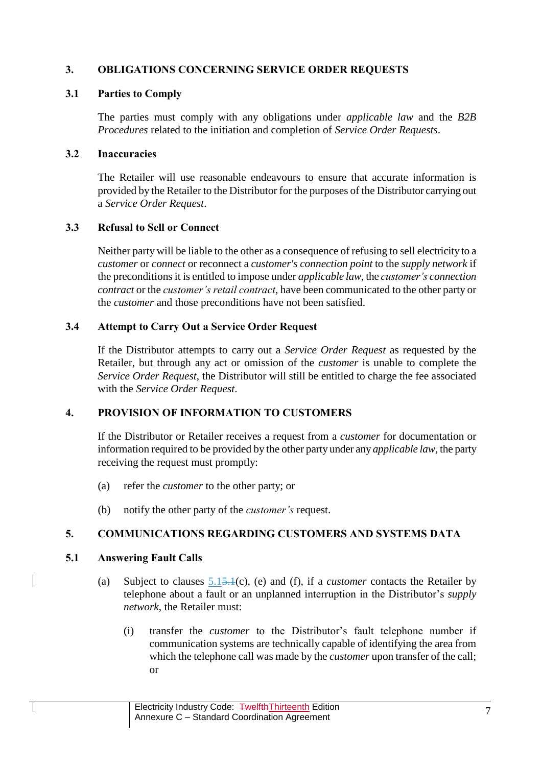# **3. OBLIGATIONS CONCERNING SERVICE ORDER REQUESTS**

## **3.1 Parties to Comply**

The parties must comply with any obligations under *applicable law* and the *B2B Procedures* related to the initiation and completion of *Service Order Requests*.

## <span id="page-6-1"></span>**3.2 Inaccuracies**

The Retailer will use reasonable endeavours to ensure that accurate information is provided by the Retailer to the Distributor for the purposes of the Distributor carrying out a *Service Order Request*.

# **3.3 Refusal to Sell or Connect**

Neither party will be liable to the other as a consequence of refusing to sell electricity to a *customer* or *connect* or reconnect a *customer's connection point* to the *supply network* if the preconditions it is entitled to impose under *applicable law,* the *customer's connection contract* or the *customer's retail contract*, have been communicated to the other party or the *customer* and those preconditions have not been satisfied.

# **3.4 Attempt to Carry Out a Service Order Request**

If the Distributor attempts to carry out a *Service Order Request* as requested by the Retailer, but through any act or omission of the *customer* is unable to complete the *Service Order Request*, the Distributor will still be entitled to charge the fee associated with the *Service Order Request*.

# **4. PROVISION OF INFORMATION TO CUSTOMERS**

If the Distributor or Retailer receives a request from a *customer* for documentation or information required to be provided by the other party under any *applicable law*, the party receiving the request must promptly:

- (a) refer the *customer* to the other party; or
- (b) notify the other party of the *customer's* request.

# **5. COMMUNICATIONS REGARDING CUSTOMERS AND SYSTEMS DATA**

# <span id="page-6-0"></span>**5.1 Answering Fault Calls**

- (a) Subject to clauses [5.15.1\(](#page-6-0)c), (e) and (f), if a *customer* contacts the Retailer by telephone about a fault or an unplanned interruption in the Distributor's *supply network*, the Retailer must:
	- (i) transfer the *customer* to the Distributor's fault telephone number if communication systems are technically capable of identifying the area from which the telephone call was made by the *customer* upon transfer of the call; or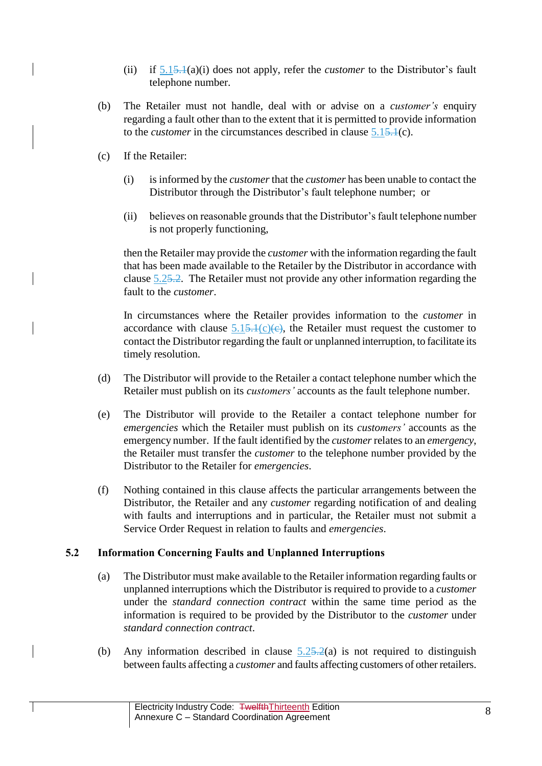- (ii) if [5.15.1\(](#page-6-0)a)(i) does not apply, refer the *customer* to the Distributor's fault telephone number.
- (b) The Retailer must not handle, deal with or advise on a *customer's* enquiry regarding a fault other than to the extent that it is permitted to provide information to the *customer* in the circumstances described in clause [5.15.1\(](#page-6-0)c).
- (c) If the Retailer:
	- (i) is informed by the *customer* that the *customer* has been unable to contact the Distributor through the Distributor's fault telephone number; or
	- (ii) believes on reasonable grounds that the Distributor's fault telephone number is not properly functioning,

then the Retailer may provide the *customer* with the information regarding the fault that has been made available to the Retailer by the Distributor in accordance with clause [5.25.2.](#page-7-0) The Retailer must not provide any other information regarding the fault to the *customer*.

In circumstances where the Retailer provides information to the *customer* in accordance with clause  $5.15 \div 1(c)(e)$ , the Retailer must request the customer to contact the Distributor regarding the fault or unplanned interruption, to facilitate its timely resolution.

- (d) The Distributor will provide to the Retailer a contact telephone number which the Retailer must publish on its *customers'* accounts as the fault telephone number.
- (e) The Distributor will provide to the Retailer a contact telephone number for *emergencies* which the Retailer must publish on its *customers'* accounts as the emergency number. If the fault identified by the *customer*relates to an *emergency*, the Retailer must transfer the *customer* to the telephone number provided by the Distributor to the Retailer for *emergencies*.
- (f) Nothing contained in this clause affects the particular arrangements between the Distributor, the Retailer and any *customer* regarding notification of and dealing with faults and interruptions and in particular, the Retailer must not submit a Service Order Request in relation to faults and *emergencies*.

# <span id="page-7-0"></span>**5.2 Information Concerning Faults and Unplanned Interruptions**

- (a) The Distributor must make available to the Retailer information regarding faults or unplanned interruptions which the Distributor is required to provide to a *customer* under the *standard connection contract* within the same time period as the information is required to be provided by the Distributor to the *customer* under *standard connection contract*.
- (b) Any information described in clause  $5.25 \cdot 2(a)$  is not required to distinguish between faults affecting a *customer* and faults affecting customers of other retailers.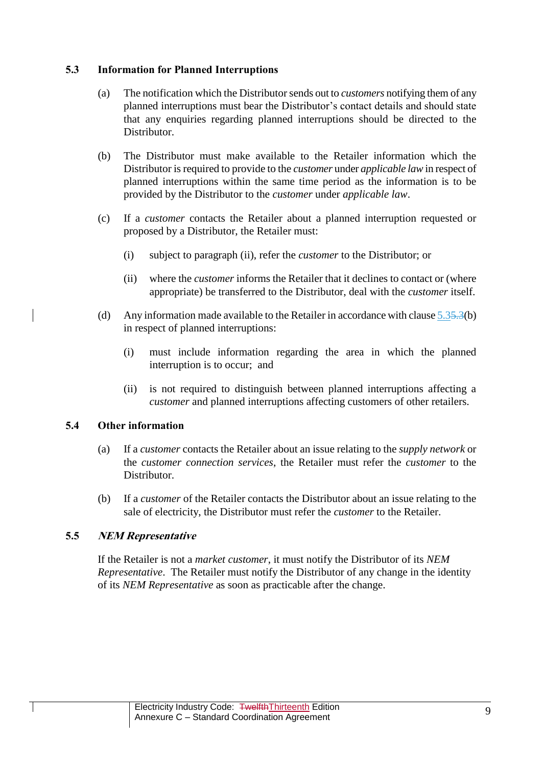## <span id="page-8-1"></span>**5.3 Information for Planned Interruptions**

- (a) The notification which the Distributor sends out to *customers* notifying them of any planned interruptions must bear the Distributor's contact details and should state that any enquiries regarding planned interruptions should be directed to the Distributor.
- (b) The Distributor must make available to the Retailer information which the Distributor is required to provide to the *customer* under *applicable law* in respect of planned interruptions within the same time period as the information is to be provided by the Distributor to the *customer* under *applicable law*.
- (c) If a *customer* contacts the Retailer about a planned interruption requested or proposed by a Distributor, the Retailer must:
	- (i) subject to paragraph (ii), refer the *customer* to the Distributor; or
	- (ii) where the *customer* informs the Retailer that it declines to contact or (where appropriate) be transferred to the Distributor, deal with the *customer* itself.
- (d) Any information made available to the Retailer in accordance with clause  $5.35.3(b)$ in respect of planned interruptions:
	- (i) must include information regarding the area in which the planned interruption is to occur; and
	- (ii) is not required to distinguish between planned interruptions affecting a *customer* and planned interruptions affecting customers of other retailers.

### **5.4 Other information**

- (a) If a *customer* contacts the Retailer about an issue relating to the *supply network* or the *customer connection services*, the Retailer must refer the *customer* to the Distributor.
- (b) If a *customer* of the Retailer contacts the Distributor about an issue relating to the sale of electricity, the Distributor must refer the *customer* to the Retailer.

# <span id="page-8-0"></span>**5.5 NEM Representative**

If the Retailer is not a *market customer*, it must notify the Distributor of its *NEM Representative*. The Retailer must notify the Distributor of any change in the identity of its *NEM Representative* as soon as practicable after the change.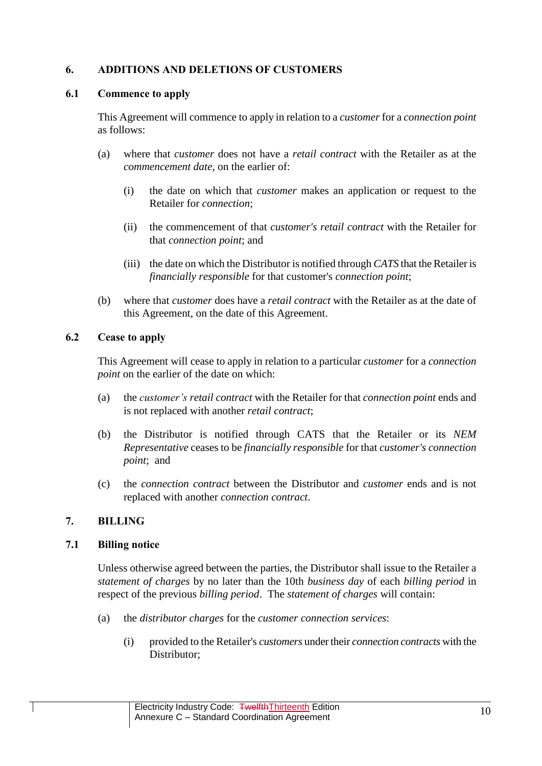# <span id="page-9-0"></span>**6. ADDITIONS AND DELETIONS OF CUSTOMERS**

## **6.1 Commence to apply**

This Agreement will commence to apply in relation to a *customer* for a *connection point* as follows:

- (a) where that *customer* does not have a *retail contract* with the Retailer as at the *commencement date*, on the earlier of:
	- (i) the date on which that *customer* makes an application or request to the Retailer for *connection*;
	- (ii) the commencement of that *customer's retail contract* with the Retailer for that *connection point*; and
	- (iii) the date on which the Distributor is notified through *CATS* that the Retailer is *financially responsible* for that customer's *connection point*;
- (b) where that *customer* does have a *retail contract* with the Retailer as at the date of this Agreement, on the date of this Agreement.

## <span id="page-9-3"></span>**6.2 Cease to apply**

This Agreement will cease to apply in relation to a particular *customer* for a *connection point* on the earlier of the date on which:

- (a) the *customer's retail contract* with the Retailer for that *connection point* ends and is not replaced with another *retail contract*;
- (b) the Distributor is notified through CATS that the Retailer or its *NEM Representative* ceases to be *financially responsible* for that *customer's connection point*; and
- (c) the *connection contract* between the Distributor and *customer* ends and is not replaced with another *connection contract*.

# <span id="page-9-2"></span>**7. BILLING**

### <span id="page-9-1"></span>**7.1 Billing notice**

Unless otherwise agreed between the parties, the Distributor shall issue to the Retailer a *statement of charges* by no later than the 10th *business day* of each *billing period* in respect of the previous *billing period*. The *statement of charges* will contain:

- (a) the *distributor charges* for the *customer connection services*:
	- (i) provided to the Retailer's *customers* under their *connection contracts* with the Distributor;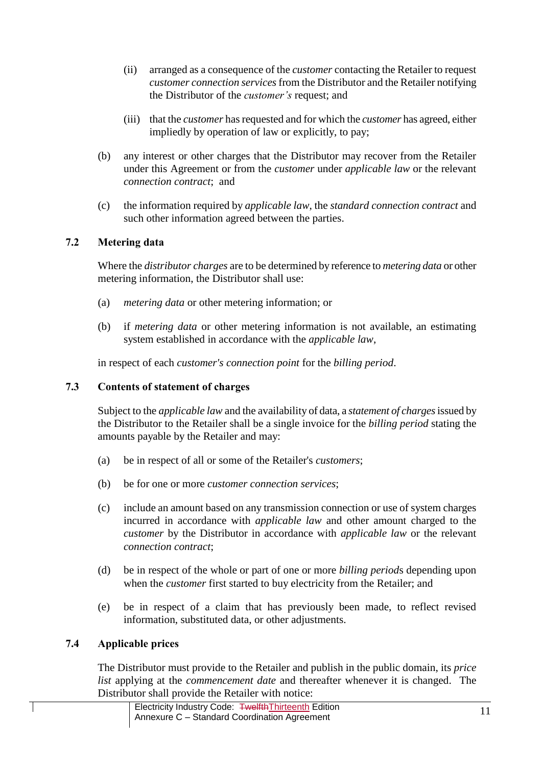- (ii) arranged as a consequence of the *customer* contacting the Retailer to request *customer connection services*from the Distributor and the Retailer notifying the Distributor of the *customer's* request; and
- (iii) that the *customer* has requested and for which the *customer* has agreed, either impliedly by operation of law or explicitly, to pay;
- (b) any interest or other charges that the Distributor may recover from the Retailer under this Agreement or from the *customer* under *applicable law* or the relevant *connection contract*; and
- (c) the information required by *applicable law*, the *standard connection contract* and such other information agreed between the parties.

# **7.2 Metering data**

Where the *distributor charges* are to be determined by reference to *metering data* or other metering information, the Distributor shall use:

- (a) *metering data* or other metering information; or
- (b) if *metering data* or other metering information is not available, an estimating system established in accordance with the *applicable law*,

in respect of each *customer's connection point* for the *billing period*.

# **7.3 Contents of statement of charges**

Subject to the *applicable law* and the availability of data, a *statement of charges*issued by the Distributor to the Retailer shall be a single invoice for the *billing period* stating the amounts payable by the Retailer and may:

- (a) be in respect of all or some of the Retailer's *customers*;
- (b) be for one or more *customer connection services*;
- (c) include an amount based on any transmission connection or use of system charges incurred in accordance with *applicable law* and other amount charged to the *customer* by the Distributor in accordance with *applicable law* or the relevant *connection contract*;
- (d) be in respect of the whole or part of one or more *billing period*s depending upon when the *customer* first started to buy electricity from the Retailer; and
- (e) be in respect of a claim that has previously been made, to reflect revised information, substituted data, or other adjustments.

# **7.4 Applicable prices**

The Distributor must provide to the Retailer and publish in the public domain, its *price list* applying at the *commencement date* and thereafter whenever it is changed. The Distributor shall provide the Retailer with notice: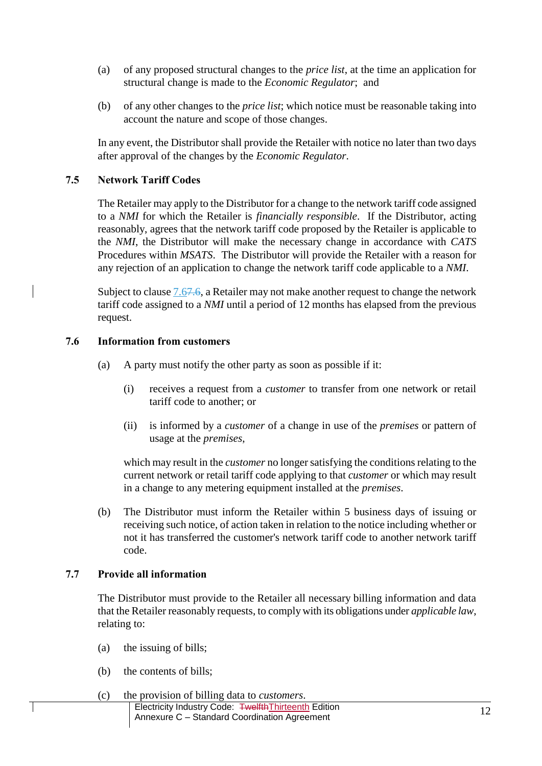- (a) of any proposed structural changes to the *price list*, at the time an application for structural change is made to the *Economic Regulator*; and
- (b) of any other changes to the *price list*; which notice must be reasonable taking into account the nature and scope of those changes.

In any event, the Distributor shall provide the Retailer with notice no later than two days after approval of the changes by the *Economic Regulator*.

# **7.5 Network Tariff Codes**

The Retailer may apply to the Distributor for a change to the network tariff code assigned to a *NMI* for which the Retailer is *financially responsible*. If the Distributor, acting reasonably, agrees that the network tariff code proposed by the Retailer is applicable to the *NMI*, the Distributor will make the necessary change in accordance with *CATS* Procedures within *MSATS*. The Distributor will provide the Retailer with a reason for any rejection of an application to change the network tariff code applicable to a *NMI*.

Subject to clause [7.67.6,](#page-11-0) a Retailer may not make another request to change the network tariff code assigned to a *NMI* until a period of 12 months has elapsed from the previous request.

### <span id="page-11-0"></span>**7.6 Information from customers**

- (a) A party must notify the other party as soon as possible if it:
	- (i) receives a request from a *customer* to transfer from one network or retail tariff code to another; or
	- (ii) is informed by a *customer* of a change in use of the *premises* or pattern of usage at the *premises*,

which may result in the *customer* no longer satisfying the conditions relating to the current network or retail tariff code applying to that *customer* or which may result in a change to any metering equipment installed at the *premises*.

(b) The Distributor must inform the Retailer within 5 business days of issuing or receiving such notice, of action taken in relation to the notice including whether or not it has transferred the customer's network tariff code to another network tariff code.

### **7.7 Provide all information**

The Distributor must provide to the Retailer all necessary billing information and data that the Retailer reasonably requests, to comply with its obligations under *applicable law*, relating to:

- (a) the issuing of bills;
- (b) the contents of bills;
- Electricity Industry Code: TwelfthThirteenth Edition Electricity industry Code:  $\frac{4 \text{W} \cdot \text{W}}{1 \text{W}}$  and Equition<br>Annexure C – Standard Coordination Agreement (c) the provision of billing data to *customers*.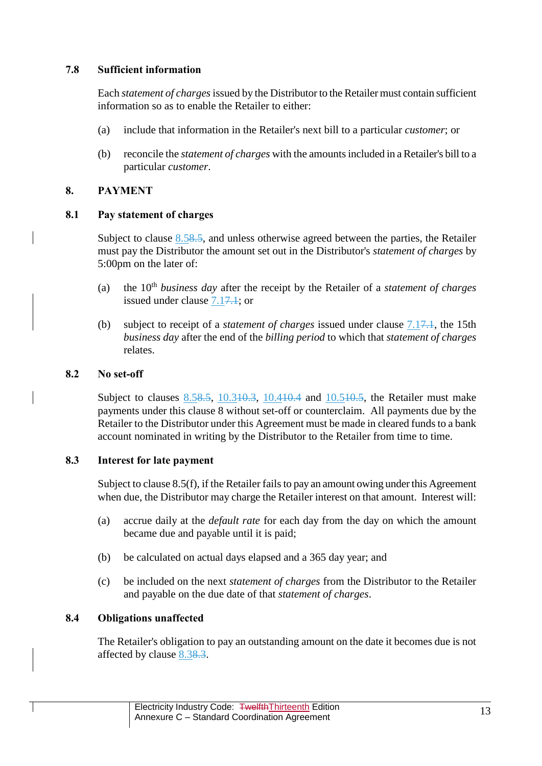# **7.8 Sufficient information**

Each *statement of charges*issued by the Distributor to the Retailer must contain sufficient information so as to enable the Retailer to either:

- (a) include that information in the Retailer's next bill to a particular *customer*; or
- (b) reconcile the *statement of charges* with the amounts included in a Retailer's bill to a particular *customer*.

## <span id="page-12-0"></span>**8. PAYMENT**

### <span id="page-12-2"></span>**8.1 Pay statement of charges**

Subject to clause [8.58.5,](#page-13-0) and unless otherwise agreed between the parties, the Retailer must pay the Distributor the amount set out in the Distributor's *statement of charges* by 5:00pm on the later of:

- (a) the 10th *business day* after the receipt by the Retailer of a *statement of charges* issued under clause [7.17.1;](#page-9-1) or
- (b) subject to receipt of a *statement of charges* issued under clause [7.17.1,](#page-9-1) the 15th *business day* after the end of the *billing period* to which that *statement of charges* relates.

### **8.2 No set-off**

Subject to clauses [8.58.5,](#page-13-0) [10.310.3,](#page-16-0) [10.410.4](#page-16-1) and [10.510.5,](#page-16-2) the Retailer must make payments under this clause [8](#page-12-0) without set-off or counterclaim. All payments due by the Retailer to the Distributor under this Agreement must be made in cleared funds to a bank account nominated in writing by the Distributor to the Retailer from time to time.

### <span id="page-12-1"></span>**8.3 Interest for late payment**

Subject to claus[e 8.5\(f\),](#page-14-0) if the Retailer fails to pay an amount owing under this Agreement when due, the Distributor may charge the Retailer interest on that amount. Interest will:

- (a) accrue daily at the *default rate* for each day from the day on which the amount became due and payable until it is paid;
- (b) be calculated on actual days elapsed and a 365 day year; and
- (c) be included on the next *statement of charges* from the Distributor to the Retailer and payable on the due date of that *statement of charges*.

# **8.4 Obligations unaffected**

The Retailer's obligation to pay an outstanding amount on the date it becomes due is not affected by clause [8.38.3.](#page-12-1)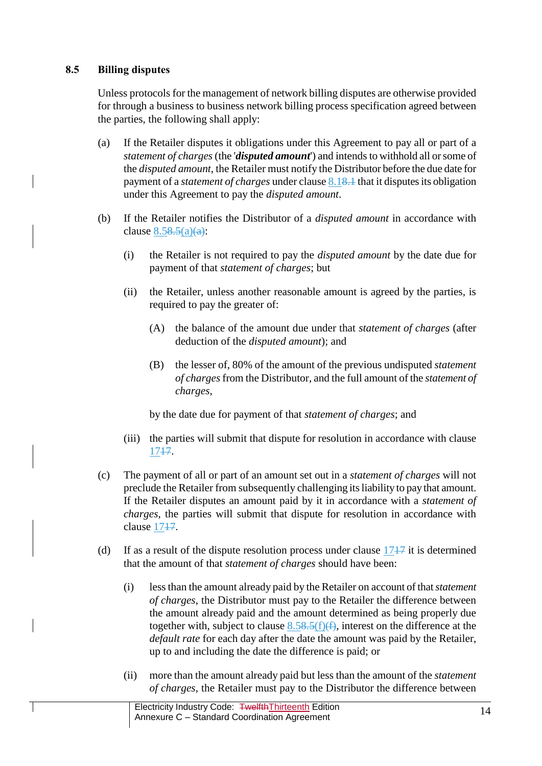# <span id="page-13-0"></span>**8.5 Billing disputes**

Unless protocols for the management of network billing disputes are otherwise provided for through a business to business network billing process specification agreed between the parties, the following shall apply:

- (a) If the Retailer disputes it obligations under this Agreement to pay all or part of a *statement of charges*(the '*disputed amount*') and intends to withhold all or some of the *disputed amount*, the Retailer must notify the Distributor before the due date for payment of a *statement of charges* under claus[e 8.18.1](#page-12-2) that it disputes its obligation under this Agreement to pay the *disputed amount*.
- (b) If the Retailer notifies the Distributor of a *disputed amount* in accordance with clause  $8.58.5(a)(a)$ :
	- (i) the Retailer is not required to pay the *disputed amount* by the date due for payment of that *statement of charges*; but
	- (ii) the Retailer, unless another reasonable amount is agreed by the parties, is required to pay the greater of:
		- (A) the balance of the amount due under that *statement of charges* (after deduction of the *disputed amount*); and
		- (B) the lesser of, 80% of the amount of the previous undisputed *statement of charges* from the Distributor, and the full amount of the *statement of charges*,

by the date due for payment of that *statement of charges*; and

- (iii) the parties will submit that dispute for resolution in accordance with clause [1717.](#page-23-0)
- (c) The payment of all or part of an amount set out in a *statement of charges* will not preclude the Retailer from subsequently challenging its liability to pay that amount. If the Retailer disputes an amount paid by it in accordance with a *statement of charges*, the parties will submit that dispute for resolution in accordance with clause 1747.
- (d) If as a result of the dispute resolution process under clause  $1747$  it is determined that the amount of that *statement of charges* should have been:
	- (i) less than the amount already paid by the Retailer on account of that *statement of charges*, the Distributor must pay to the Retailer the difference between the amount already paid and the amount determined as being properly due together with, subject to clause  $8.58.5(f)(f)$ , interest on the difference at the *default rate* for each day after the date the amount was paid by the Retailer, up to and including the date the difference is paid; or
	- (ii) more than the amount already paid but less than the amount of the *statement of charges*, the Retailer must pay to the Distributor the difference between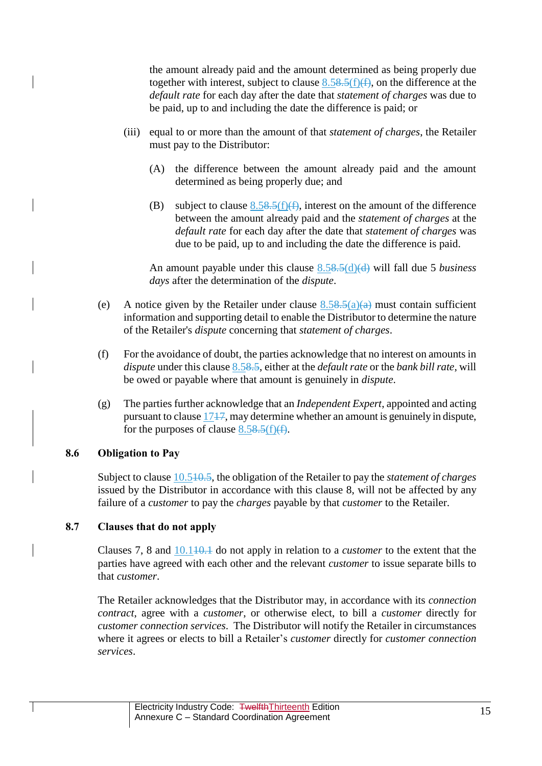the amount already paid and the amount determined as being properly due together with interest, subject to clause  $8.58.5(f)(f)$ , on the difference at the *default rate* for each day after the date that *statement of charges* was due to be paid, up to and including the date the difference is paid; or

- (iii) equal to or more than the amount of that *statement of charges*, the Retailer must pay to the Distributor:
	- (A) the difference between the amount already paid and the amount determined as being properly due; and
	- (B) subject to clause  $8.58.5(f)(f)$ , interest on the amount of the difference between the amount already paid and the *statement of charges* at the *default rate* for each day after the date that *statement of charges* was due to be paid, up to and including the date the difference is paid.

An amount payable under this clause [8.58.5\(d\)\(d\)](#page-13-0) will fall due 5 *business days* after the determination of the *dispute*.

- (e) A notice given by the Retailer under clause  $8.58.5(a)(a)$  must contain sufficient information and supporting detail to enable the Distributor to determine the nature of the Retailer's *dispute* concerning that *statement of charges*.
- <span id="page-14-0"></span>(f) For the avoidance of doubt, the parties acknowledge that no interest on amounts in *dispute* under this clause [8.58.5,](#page-13-0) either at the *default rate* or the *bank bill rate*, will be owed or payable where that amount is genuinely in *dispute*.
- (g) The parties further acknowledge that an *Independent Expert*, appointed and acting pursuant to clause [1717,](#page-23-0) may determine whether an amount is genuinely in dispute, for the purposes of clause  $8.58.5(f)(f)$ .

### **8.6 Obligation to Pay**

Subject to clause [10.510.5,](#page-16-2) the obligation of the Retailer to pay the *statement of charges* issued by the Distributor in accordance with this clause [8,](#page-12-0) will not be affected by any failure of a *customer* to pay the *charges* payable by that *customer* to the Retailer.

### **8.7 Clauses that do not apply**

Clauses [7,](#page-9-2) [8](#page-12-0) and  $10.110.1$  do not apply in relation to a *customer* to the extent that the parties have agreed with each other and the relevant *customer* to issue separate bills to that *customer*.

The Retailer acknowledges that the Distributor may, in accordance with its *connection contract*, agree with a *customer*, or otherwise elect, to bill a *customer* directly for *customer connection services*. The Distributor will notify the Retailer in circumstances where it agrees or elects to bill a Retailer's *customer* directly for *customer connection services*.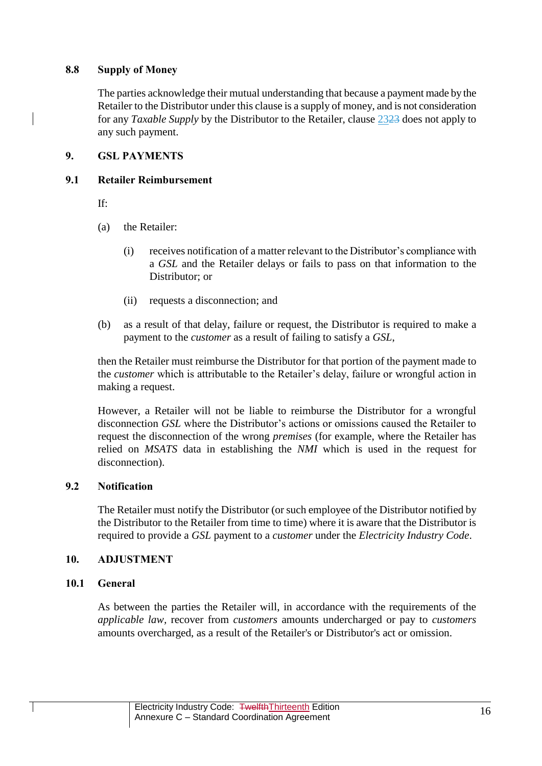# **8.8 Supply of Money**

The parties acknowledge their mutual understanding that because a payment made by the Retailer to the Distributor under this clause is a supply of money, and is not consideration for any *Taxable Supply* by the Distributor to the Retailer, clause [2323](#page-30-0) does not apply to any such payment.

# **9. GSL PAYMENTS**

# **9.1 Retailer Reimbursement**

If:

- (a) the Retailer:
	- (i) receives notification of a matter relevant to the Distributor's compliance with a *GSL* and the Retailer delays or fails to pass on that information to the Distributor; or
	- (ii) requests a disconnection; and
- (b) as a result of that delay, failure or request, the Distributor is required to make a payment to the *customer* as a result of failing to satisfy a *GSL*,

then the Retailer must reimburse the Distributor for that portion of the payment made to the *customer* which is attributable to the Retailer's delay, failure or wrongful action in making a request.

However, a Retailer will not be liable to reimburse the Distributor for a wrongful disconnection *GSL* where the Distributor's actions or omissions caused the Retailer to request the disconnection of the wrong *premises* (for example, where the Retailer has relied on *MSATS* data in establishing the *NMI* which is used in the request for disconnection).

# **9.2 Notification**

The Retailer must notify the Distributor (or such employee of the Distributor notified by the Distributor to the Retailer from time to time) where it is aware that the Distributor is required to provide a *GSL* payment to a *customer* under the *Electricity Industry Code*.

# **10. ADJUSTMENT**

# <span id="page-15-0"></span>**10.1 General**

As between the parties the Retailer will, in accordance with the requirements of the *applicable law,* recover from *customers* amounts undercharged or pay to *customers*  amounts overcharged, as a result of the Retailer's or Distributor's act or omission.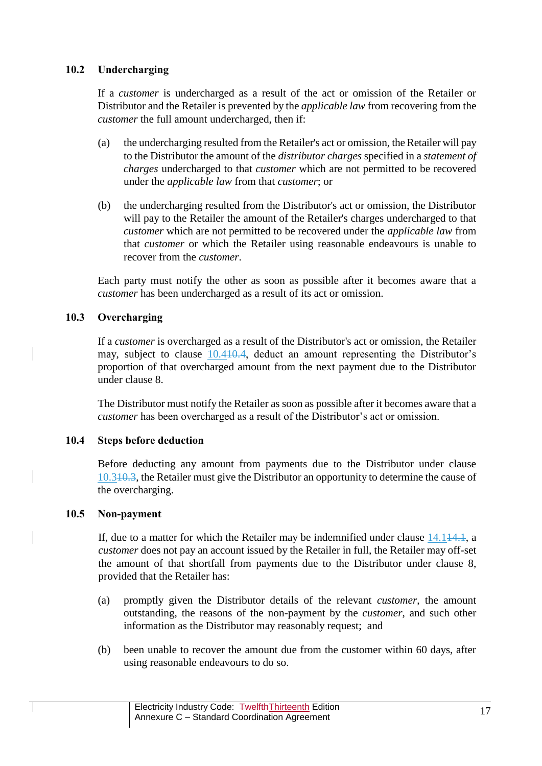# **10.2 Undercharging**

If a *customer* is undercharged as a result of the act or omission of the Retailer or Distributor and the Retailer is prevented by the *applicable law* from recovering from the *customer* the full amount undercharged, then if:

- (a) the undercharging resulted from the Retailer's act or omission, the Retailer will pay to the Distributor the amount of the *distributor charges* specified in a *statement of charges* undercharged to that *customer* which are not permitted to be recovered under the *applicable law* from that *customer*; or
- (b) the undercharging resulted from the Distributor's act or omission, the Distributor will pay to the Retailer the amount of the Retailer's charges undercharged to that *customer* which are not permitted to be recovered under the *applicable law* from that *customer* or which the Retailer using reasonable endeavours is unable to recover from the *customer*.

Each party must notify the other as soon as possible after it becomes aware that a *customer* has been undercharged as a result of its act or omission.

# <span id="page-16-0"></span>**10.3 Overcharging**

If a *customer* is overcharged as a result of the Distributor's act or omission, the Retailer may, subject to clause [10.410.4,](#page-16-1) deduct an amount representing the Distributor's proportion of that overcharged amount from the next payment due to the Distributor under clause [8.](#page-12-0)

The Distributor must notify the Retailer as soon as possible after it becomes aware that a *customer* has been overcharged as a result of the Distributor's act or omission.

# <span id="page-16-1"></span>**10.4 Steps before deduction**

Before deducting any amount from payments due to the Distributor under clause [10.310.3,](#page-16-0) the Retailer must give the Distributor an opportunity to determine the cause of the overcharging.

### <span id="page-16-2"></span>**10.5 Non-payment**

If, due to a matter for which the Retailer may be indemnified under clause [14.114.1,](#page-20-0) a *customer* does not pay an account issued by the Retailer in full, the Retailer may off-set the amount of that shortfall from payments due to the Distributor under clause [8,](#page-12-0) provided that the Retailer has:

- (a) promptly given the Distributor details of the relevant *customer*, the amount outstanding, the reasons of the non-payment by the *customer*, and such other information as the Distributor may reasonably request; and
- (b) been unable to recover the amount due from the customer within 60 days, after using reasonable endeavours to do so.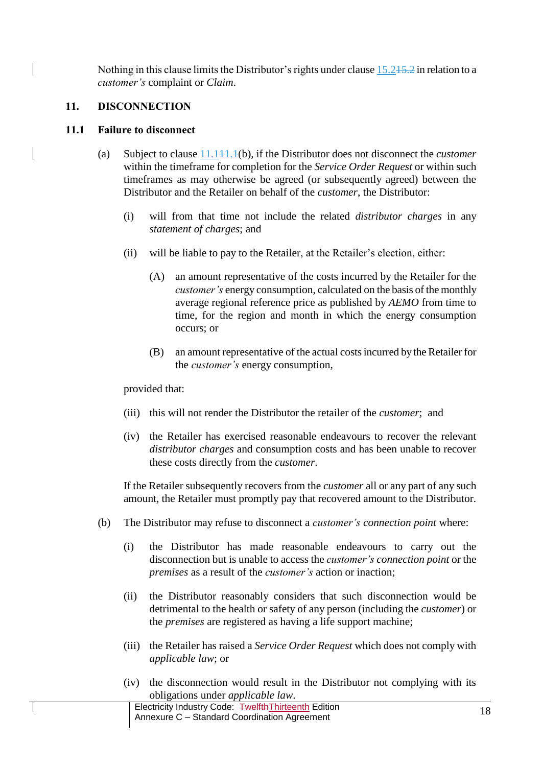Nothing in this clause limits the Distributor's rights under clause [15.215.2](#page-21-0) in relation to a *customer's* complaint or *Claim*.

## <span id="page-17-1"></span>**11. DISCONNECTION**

### <span id="page-17-0"></span>**11.1 Failure to disconnect**

- (a) Subject to clause [11.111.1\(](#page-17-0)b), if the Distributor does not disconnect the *customer*  within the timeframe for completion for the *Service Order Request* or within such timeframes as may otherwise be agreed (or subsequently agreed) between the Distributor and the Retailer on behalf of the *customer*, the Distributor:
	- (i) will from that time not include the related *distributor charges* in any *statement of charges*; and
	- (ii) will be liable to pay to the Retailer, at the Retailer's election, either:
		- (A) an amount representative of the costs incurred by the Retailer for the *customer's* energy consumption, calculated on the basis of the monthly average regional reference price as published by *AEMO* from time to time, for the region and month in which the energy consumption occurs; or
		- (B) an amount representative of the actual costs incurred by the Retailer for the *customer's* energy consumption,

provided that:

- (iii) this will not render the Distributor the retailer of the *customer*; and
- (iv) the Retailer has exercised reasonable endeavours to recover the relevant *distributor charges* and consumption costs and has been unable to recover these costs directly from the *customer*.

If the Retailer subsequently recovers from the *customer* all or any part of any such amount, the Retailer must promptly pay that recovered amount to the Distributor.

- (b) The Distributor may refuse to disconnect a *customer's connection point* where:
	- (i) the Distributor has made reasonable endeavours to carry out the disconnection but is unable to access the *customer's connection point* or the *premises* as a result of the *customer's* action or inaction;
	- (ii) the Distributor reasonably considers that such disconnection would be detrimental to the health or safety of any person (including the *customer*) or the *premises* are registered as having a life support machine;
	- (iii) the Retailer has raised a *Service Order Request* which does not comply with *applicable law*; or
	- (iv) the disconnection would result in the Distributor not complying with its obligations under *applicable law*.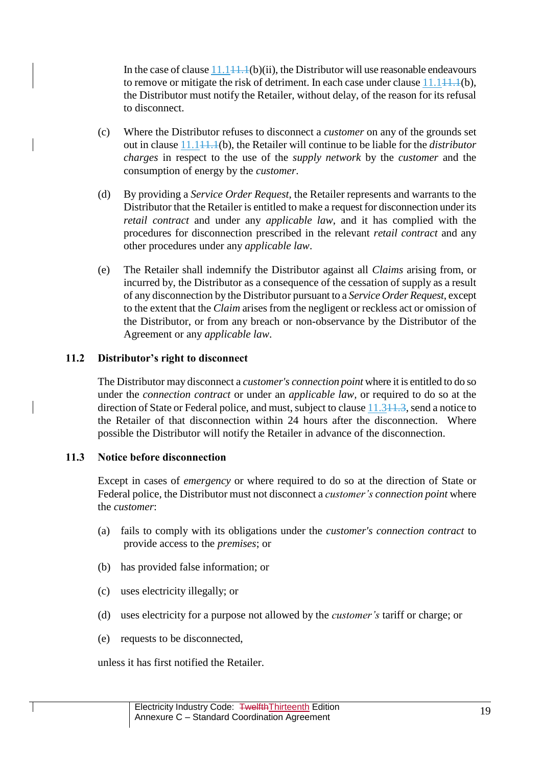In the case of clause  $11.141.1(b)(ii)$ , the Distributor will use reasonable endeavours to remove or mitigate the risk of detriment. In each case under clause  $11.144.4(b)$ , the Distributor must notify the Retailer, without delay, of the reason for its refusal to disconnect.

- (c) Where the Distributor refuses to disconnect a *customer* on any of the grounds set out in clause [11.111.1\(](#page-17-0)b), the Retailer will continue to be liable for the *distributor charges* in respect to the use of the *supply network* by the *customer* and the consumption of energy by the *customer*.
- (d) By providing a *Service Order Request*, the Retailer represents and warrants to the Distributor that the Retailer is entitled to make a request for disconnection under its *retail contract* and under any *applicable law*, and it has complied with the procedures for disconnection prescribed in the relevant *retail contract* and any other procedures under any *applicable law*.
- (e) The Retailer shall indemnify the Distributor against all *Claims* arising from, or incurred by, the Distributor as a consequence of the cessation of supply as a result of any disconnection by the Distributor pursuant to a *Service Order Request*, except to the extent that the *Claim* arises from the negligent or reckless act or omission of the Distributor, or from any breach or non-observance by the Distributor of the Agreement or any *applicable law*.

### **11.2 Distributor's right to disconnect**

The Distributor may disconnect a *customer's connection point* where it is entitled to do so under the *connection contract* or under an *applicable law,* or required to do so at the direction of State or Federal police, and must, subject to clause  $11.341.3$ , send a notice to the Retailer of that disconnection within 24 hours after the disconnection. Where possible the Distributor will notify the Retailer in advance of the disconnection.

### <span id="page-18-0"></span>**11.3 Notice before disconnection**

Except in cases of *emergency* or where required to do so at the direction of State or Federal police, the Distributor must not disconnect a *customer's connection point* where the *customer*:

- (a) fails to comply with its obligations under the *customer's connection contract* to provide access to the *premises*; or
- (b) has provided false information; or
- (c) uses electricity illegally; or
- (d) uses electricity for a purpose not allowed by the *customer's* tariff or charge; or
- (e) requests to be disconnected,

unless it has first notified the Retailer.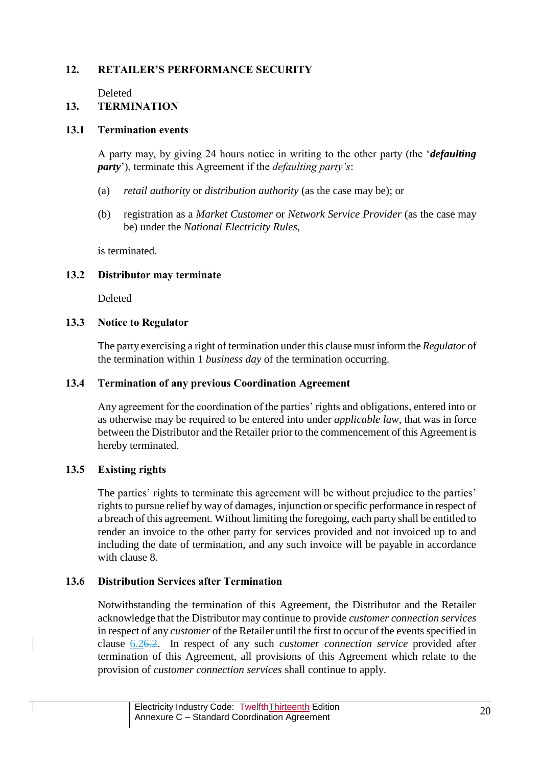# **12. RETAILER'S PERFORMANCE SECURITY**

Deleted

### <span id="page-19-0"></span>**13. TERMINATION**

### **13.1 Termination events**

A party may, by giving 24 hours notice in writing to the other party (the '*defaulting party*'), terminate this Agreement if the *defaulting party's*:

- (a) *retail authority* or *distribution authority* (as the case may be); or
- (b) registration as a *Market Customer* or *Network Service Provider* (as the case may be) under the *National Electricity Rules*,

is terminated.

### **13.2 Distributor may terminate**

Deleted

### **13.3 Notice to Regulator**

The party exercising a right of termination under this clause must inform the *Regulator* of the termination within 1 *business day* of the termination occurring.

### **13.4 Termination of any previous Coordination Agreement**

Any agreement for the coordination of the parties' rights and obligations, entered into or as otherwise may be required to be entered into under *applicable law*, that was in force between the Distributor and the Retailer prior to the commencement of this Agreement is hereby terminated.

### **13.5 Existing rights**

The parties' rights to terminate this agreement will be without prejudice to the parties' rights to pursue relief by way of damages, injunction or specific performance in respect of a breach of this agreement. Without limiting the foregoing, each party shall be entitled to render an invoice to the other party for services provided and not invoiced up to and including the date of termination, and any such invoice will be payable in accordance with clause [8.](#page-12-0)

### **13.6 Distribution Services after Termination**

Notwithstanding the termination of this Agreement, the Distributor and the Retailer acknowledge that the Distributor may continue to provide *customer connection services* in respect of any *customer* of the Retailer until the first to occur of the events specified in clause [6.26.2.](#page-9-3) In respect of any such *customer connection service* provided after termination of this Agreement, all provisions of this Agreement which relate to the provision of *customer connection services* shall continue to apply.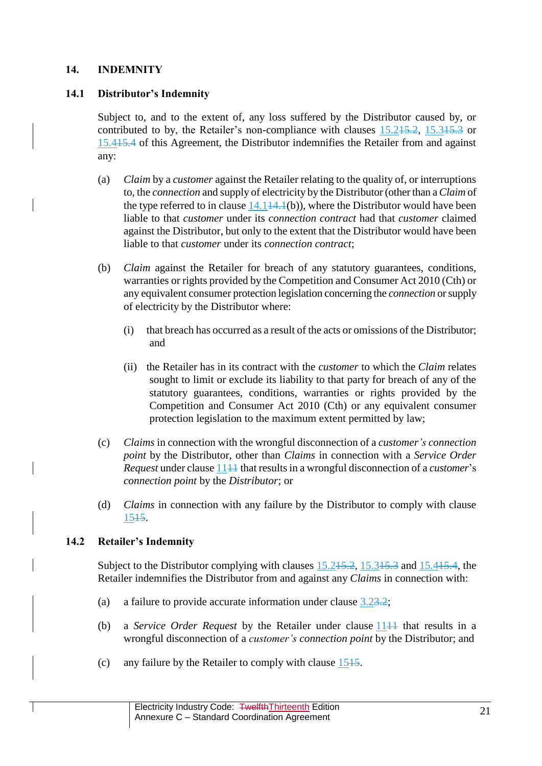## <span id="page-20-2"></span>**14. INDEMNITY**

### <span id="page-20-0"></span>**14.1 Distributor's Indemnity**

Subject to, and to the extent of, any loss suffered by the Distributor caused by, or contributed to by, the Retailer's non-compliance with clauses [15.215.2,](#page-21-0) [15.315.3](#page-22-0) or [15.415.4](#page-22-1) of this Agreement, the Distributor indemnifies the Retailer from and against any:

- (a) *Claim* by a *customer* against the Retailer relating to the quality of, or interruptions to, the *connection* and supply of electricity by the Distributor (other than a *Claim* of the type referred to in clause  $14.144.1(b)$ , where the Distributor would have been liable to that *customer* under its *connection contract* had that *customer* claimed against the Distributor, but only to the extent that the Distributor would have been liable to that *customer* under its *connection contract*;
- (b) *Claim* against the Retailer for breach of any statutory guarantees, conditions, warranties or rights provided by the Competition and Consumer Act 2010 (Cth) or any equivalent consumer protection legislation concerning the *connection* or supply of electricity by the Distributor where:
	- (i) that breach has occurred as a result of the acts or omissions of the Distributor; and
	- (ii) the Retailer has in its contract with the *customer* to which the *Claim* relates sought to limit or exclude its liability to that party for breach of any of the statutory guarantees, conditions, warranties or rights provided by the Competition and Consumer Act 2010 (Cth) or any equivalent consumer protection legislation to the maximum extent permitted by law;
- (c) *Claims* in connection with the wrongful disconnection of a *customer's connection point* by the Distributor, other than *Claims* in connection with a *Service Order Request* under clause 11<sup>11</sup> that results in a wrongful disconnection of a *customer*'s *connection point* by the *Distributor*; or
- (d) *Claims* in connection with any failure by the Distributor to comply with clause [1515.](#page-21-1)

### <span id="page-20-1"></span>**14.2 Retailer's Indemnity**

Subject to the Distributor complying with clauses [15.215.2,](#page-21-0) [15.315.3](#page-22-0) and [15.415.4,](#page-22-1) the Retailer indemnifies the Distributor from and against any *Claims* in connection with:

- (a) a failure to provide accurate information under clause [3.23.2;](#page-6-1)
- (b) a *Service Order Request* by the Retailer under clause [1111](#page-17-1) that results in a wrongful disconnection of a *customer's connection point* by the Distributor; and
- (c) any failure by the Retailer to comply with clause  $1515$ .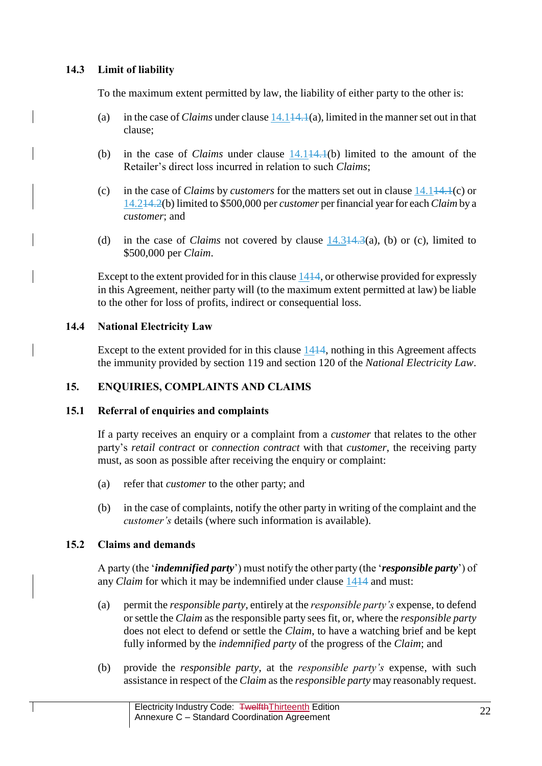# <span id="page-21-2"></span>**14.3 Limit of liability**

To the maximum extent permitted by law, the liability of either party to the other is:

- (a) in the case of *Claims* under claus[e 14.114.1\(](#page-20-0)a), limited in the manner set out in that clause;
- (b) in the case of *Claims* under clause [14.114.1\(](#page-20-0)b) limited to the amount of the Retailer's direct loss incurred in relation to such *Claims*;
- (c) in the case of *Claims* by *customers* for the matters set out in clause [14.114.1\(](#page-20-0)c) or [14.214.2\(](#page-20-1)b) limited to \$500,000 per *customer* per financial year for each *Claim* by a *customer*; and
- (d) in the case of *Claims* not covered by clause [14.314.3\(](#page-21-2)a), (b) or (c), limited to \$500,000 per *Claim*.

Except to the extent provided for in this clause [1414,](#page-20-2) or otherwise provided for expressly in this Agreement, neither party will (to the maximum extent permitted at law) be liable to the other for loss of profits, indirect or consequential loss.

# **14.4 National Electricity Law**

Except to the extent provided for in this clause  $1414$ , nothing in this Agreement affects the immunity provided by section 119 and section 120 of the *National Electricity Law*.

# <span id="page-21-1"></span>**15. ENQUIRIES, COMPLAINTS AND CLAIMS**

### <span id="page-21-3"></span>**15.1 Referral of enquiries and complaints**

If a party receives an enquiry or a complaint from a *customer* that relates to the other party's *retail contract* or *connection contract* with that *customer*, the receiving party must, as soon as possible after receiving the enquiry or complaint:

- (a) refer that *customer* to the other party; and
- (b) in the case of complaints, notify the other party in writing of the complaint and the *customer's* details (where such information is available).

# <span id="page-21-0"></span>**15.2 Claims and demands**

A party (the '*indemnified party*') must notify the other party (the '*responsible party*') of any *Claim* for which it may be indemnified under clause [1414](#page-20-2) and must:

- (a) permit the *responsible party*, entirely at the *responsible party's* expense, to defend or settle the *Claim* as the responsible party sees fit, or, where the *responsible party* does not elect to defend or settle the *Claim*, to have a watching brief and be kept fully informed by the *indemnified party* of the progress of the *Claim*; and
- (b) provide the *responsible party*, at the *responsible party's* expense, with such assistance in respect of the *Claim* as the *responsible party* may reasonably request.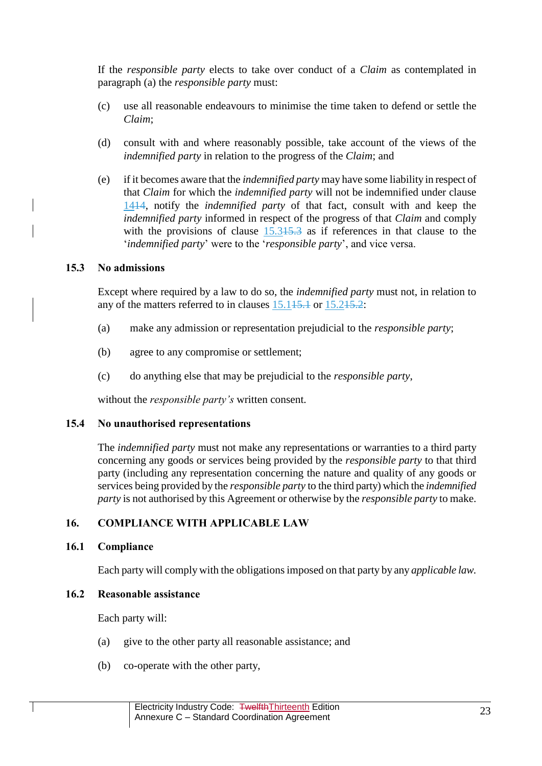If the *responsible party* elects to take over conduct of a *Claim* as contemplated in paragraph (a) the *responsible party* must:

- (c) use all reasonable endeavours to minimise the time taken to defend or settle the *Claim*;
- (d) consult with and where reasonably possible, take account of the views of the *indemnified party* in relation to the progress of the *Claim*; and
- (e) if it becomes aware that the *indemnified party* may have some liability in respect of that *Claim* for which the *indemnified party* will not be indemnified under clause [1414,](#page-20-2) notify the *indemnified party* of that fact, consult with and keep the *indemnified party* informed in respect of the progress of that *Claim* and comply with the provisions of clause  $15.315.3$  as if references in that clause to the '*indemnified party*' were to the '*responsible party*', and vice versa.

### <span id="page-22-0"></span>**15.3 No admissions**

Except where required by a law to do so, the *indemnified party* must not, in relation to any of the matters referred to in clauses  $15.145.1$  or  $15.245.2$ :

- (a) make any admission or representation prejudicial to the *responsible party*;
- (b) agree to any compromise or settlement;
- (c) do anything else that may be prejudicial to the *responsible party*,

without the *responsible party's* written consent.

# <span id="page-22-1"></span>**15.4 No unauthorised representations**

The *indemnified party* must not make any representations or warranties to a third party concerning any goods or services being provided by the *responsible party* to that third party (including any representation concerning the nature and quality of any goods or services being provided by the *responsible party* to the third party) which the *indemnified party* is not authorised by this Agreement or otherwise by the *responsible party* to make.

# **16. COMPLIANCE WITH APPLICABLE LAW**

# **16.1 Compliance**

Each party will comply with the obligations imposed on that party by any *applicable law.*

# **16.2 Reasonable assistance**

Each party will:

- (a) give to the other party all reasonable assistance; and
- (b) co-operate with the other party,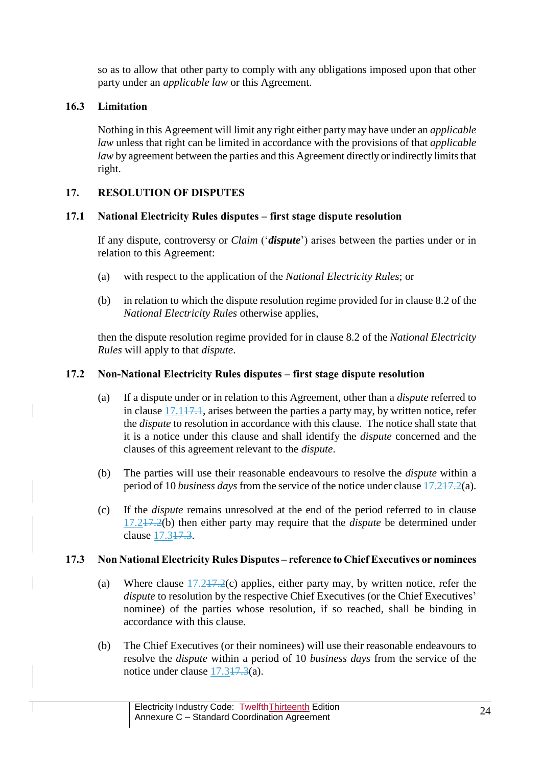so as to allow that other party to comply with any obligations imposed upon that other party under an *applicable law* or this Agreement.

# **16.3 Limitation**

Nothing in this Agreement will limit any right either party may have under an *applicable law* unless that right can be limited in accordance with the provisions of that *applicable law* by agreement between the parties and this Agreement directly or indirectly limits that right.

# <span id="page-23-0"></span>**17. RESOLUTION OF DISPUTES**

# <span id="page-23-1"></span>**17.1 National Electricity Rules disputes – first stage dispute resolution**

If any dispute, controversy or *Claim* ('*dispute*') arises between the parties under or in relation to this Agreement:

- (a) with respect to the application of the *National Electricity Rules*; or
- (b) in relation to which the dispute resolution regime provided for in clause 8.2 of the *National Electricity Rules* otherwise applies,

then the dispute resolution regime provided for in clause 8.2 of the *National Electricity Rules* will apply to that *dispute*.

# <span id="page-23-2"></span>**17.2 Non-National Electricity Rules disputes – first stage dispute resolution**

- (a) If a dispute under or in relation to this Agreement, other than a *dispute* referred to in clause [17.117.1,](#page-23-1) arises between the parties a party may, by written notice, refer the *dispute* to resolution in accordance with this clause. The notice shall state that it is a notice under this clause and shall identify the *dispute* concerned and the clauses of this agreement relevant to the *dispute*.
- (b) The parties will use their reasonable endeavours to resolve the *dispute* within a period of 10 *business days* from the service of the notice under clause [17.217.2\(](#page-23-2)a).
- (c) If the *dispute* remains unresolved at the end of the period referred to in clause [17.217.2\(](#page-23-2)b) then either party may require that the *dispute* be determined under clause [17.317.3.](#page-23-3)

# <span id="page-23-3"></span>**17.3 Non National Electricity Rules Disputes – reference to Chief Executives or nominees**

- (a) Where clause  $17.247.2(c)$  applies, either party may, by written notice, refer the *dispute* to resolution by the respective Chief Executives (or the Chief Executives' nominee) of the parties whose resolution, if so reached, shall be binding in accordance with this clause.
- (b) The Chief Executives (or their nominees) will use their reasonable endeavours to resolve the *dispute* within a period of 10 *business days* from the service of the notice under clause [17.317.3\(](#page-23-3)a).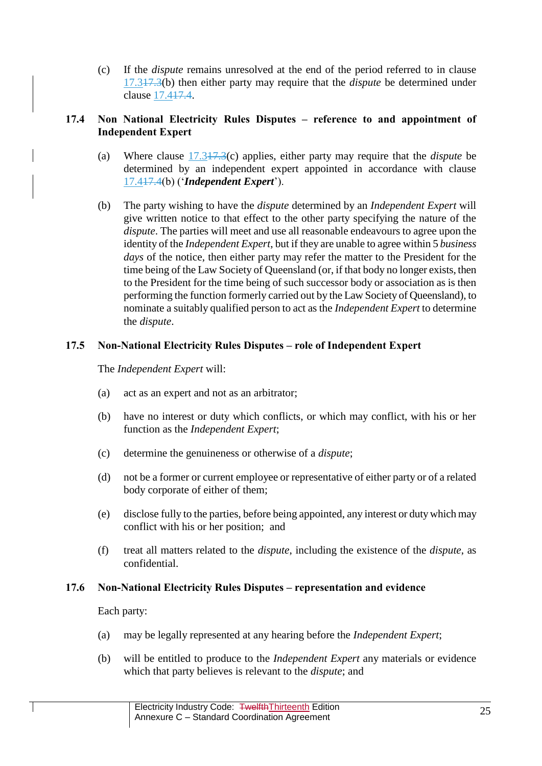(c) If the *dispute* remains unresolved at the end of the period referred to in clause [17.317.3\(](#page-23-3)b) then either party may require that the *dispute* be determined under clause [17.417.4.](#page-24-0)

# <span id="page-24-0"></span>**17.4 Non National Electricity Rules Disputes – reference to and appointment of Independent Expert**

- (a) Where clause [17.317.3\(](#page-23-3)c) applies, either party may require that the *dispute* be determined by an independent expert appointed in accordance with clause [17.417.4\(](#page-24-0)b) ('*Independent Expert*').
- (b) The party wishing to have the *dispute* determined by an *Independent Expert* will give written notice to that effect to the other party specifying the nature of the *dispute*. The parties will meet and use all reasonable endeavours to agree upon the identity of the *Independent Expert*, but if they are unable to agree within 5 *business days* of the notice, then either party may refer the matter to the President for the time being of the Law Society of Queensland (or, if that body no longer exists, then to the President for the time being of such successor body or association as is then performing the function formerly carried out by the Law Society of Queensland), to nominate a suitably qualified person to act as the *Independent Expert* to determine the *dispute*.

# **17.5 Non-National Electricity Rules Disputes – role of Independent Expert**

The *Independent Expert* will:

- (a) act as an expert and not as an arbitrator;
- (b) have no interest or duty which conflicts, or which may conflict, with his or her function as the *Independent Expert*;
- (c) determine the genuineness or otherwise of a *dispute*;
- (d) not be a former or current employee or representative of either party or of a related body corporate of either of them;
- (e) disclose fully to the parties, before being appointed, any interest or duty which may conflict with his or her position; and
- (f) treat all matters related to the *dispute*, including the existence of the *dispute*, as confidential.

# **17.6 Non-National Electricity Rules Disputes – representation and evidence**

Each party:

- (a) may be legally represented at any hearing before the *Independent Expert*;
- (b) will be entitled to produce to the *Independent Expert* any materials or evidence which that party believes is relevant to the *dispute*; and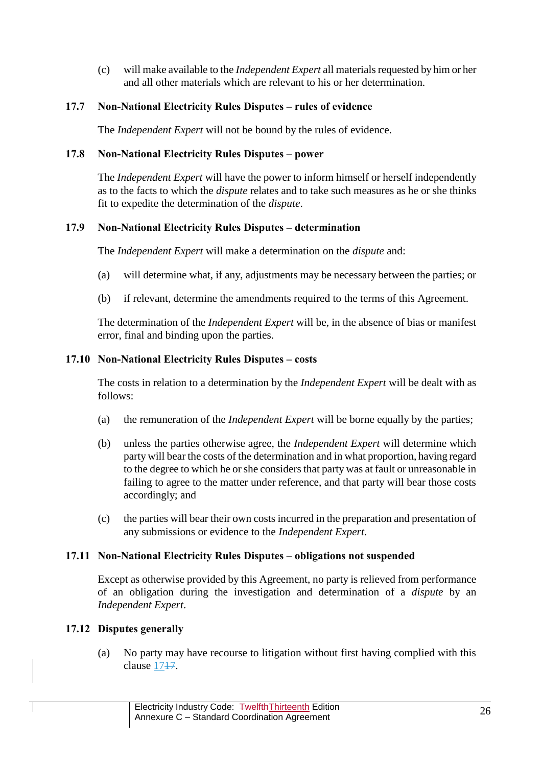(c) will make available to the *Independent Expert* all materials requested by him or her and all other materials which are relevant to his or her determination.

# **17.7 Non-National Electricity Rules Disputes – rules of evidence**

The *Independent Expert* will not be bound by the rules of evidence.

# **17.8 Non-National Electricity Rules Disputes – power**

The *Independent Expert* will have the power to inform himself or herself independently as to the facts to which the *dispute* relates and to take such measures as he or she thinks fit to expedite the determination of the *dispute*.

# **17.9 Non-National Electricity Rules Disputes – determination**

The *Independent Expert* will make a determination on the *dispute* and:

- (a) will determine what, if any, adjustments may be necessary between the parties; or
- (b) if relevant, determine the amendments required to the terms of this Agreement.

The determination of the *Independent Expert* will be, in the absence of bias or manifest error, final and binding upon the parties.

# **17.10 Non-National Electricity Rules Disputes – costs**

The costs in relation to a determination by the *Independent Expert* will be dealt with as follows:

- (a) the remuneration of the *Independent Expert* will be borne equally by the parties;
- (b) unless the parties otherwise agree, the *Independent Expert* will determine which party will bear the costs of the determination and in what proportion, having regard to the degree to which he or she considers that party was at fault or unreasonable in failing to agree to the matter under reference, and that party will bear those costs accordingly; and
- (c) the parties will bear their own costs incurred in the preparation and presentation of any submissions or evidence to the *Independent Expert*.

# **17.11 Non-National Electricity Rules Disputes – obligations not suspended**

Except as otherwise provided by this Agreement, no party is relieved from performance of an obligation during the investigation and determination of a *dispute* by an *Independent Expert*.

# **17.12 Disputes generally**

(a) No party may have recourse to litigation without first having complied with this clause 1747.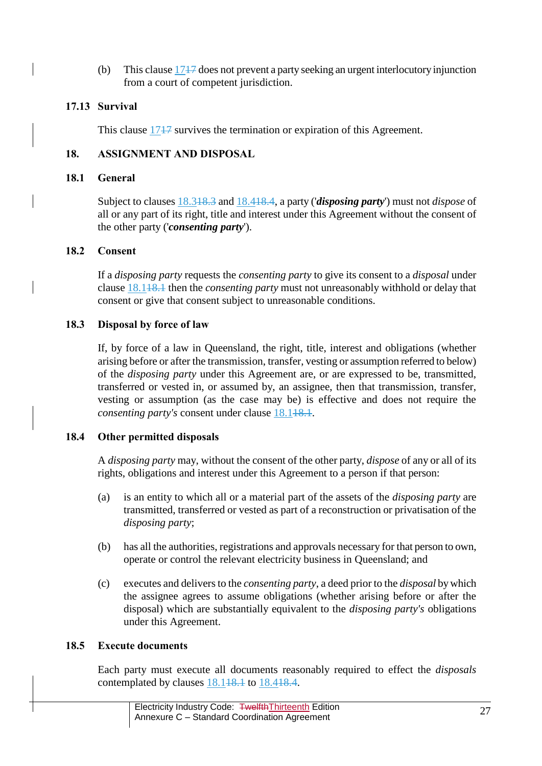(b) This claus[e 1717](#page-23-0) does not prevent a party seeking an urgent interlocutory injunction from a court of competent jurisdiction.

# **17.13 Survival**

This clause 1747 survives the termination or expiration of this Agreement.

# **18. ASSIGNMENT AND DISPOSAL**

### <span id="page-26-2"></span>**18.1 General**

Subject to clauses [18.318.3](#page-26-0) and [18.418.4,](#page-26-1) a party ('*disposing party*') must not *dispose* of all or any part of its right, title and interest under this Agreement without the consent of the other party ('*consenting party*').

### **18.2 Consent**

If a *disposing party* requests the *consenting party* to give its consent to a *disposal* under clause [18.118.1](#page-26-2) then the *consenting party* must not unreasonably withhold or delay that consent or give that consent subject to unreasonable conditions.

### <span id="page-26-0"></span>**18.3 Disposal by force of law**

If, by force of a law in Queensland, the right, title, interest and obligations (whether arising before or after the transmission, transfer, vesting or assumption referred to below) of the *disposing party* under this Agreement are, or are expressed to be, transmitted, transferred or vested in, or assumed by, an assignee, then that transmission, transfer, vesting or assumption (as the case may be) is effective and does not require the *consenting party's* consent under clause 18.148.1.

# <span id="page-26-1"></span>**18.4 Other permitted disposals**

A *disposing party* may, without the consent of the other party, *dispose* of any or all of its rights, obligations and interest under this Agreement to a person if that person:

- (a) is an entity to which all or a material part of the assets of the *disposing party* are transmitted, transferred or vested as part of a reconstruction or privatisation of the *disposing party*;
- (b) has all the authorities, registrations and approvals necessary for that person to own, operate or control the relevant electricity business in Queensland; and
- (c) executes and delivers to the *consenting party*, a deed prior to the *disposal* by which the assignee agrees to assume obligations (whether arising before or after the disposal) which are substantially equivalent to the *disposing party's* obligations under this Agreement.

### **18.5 Execute documents**

Each party must execute all documents reasonably required to effect the *disposals* contemplated by clauses [18.118.1](#page-26-2) to [18.418.4.](#page-26-1)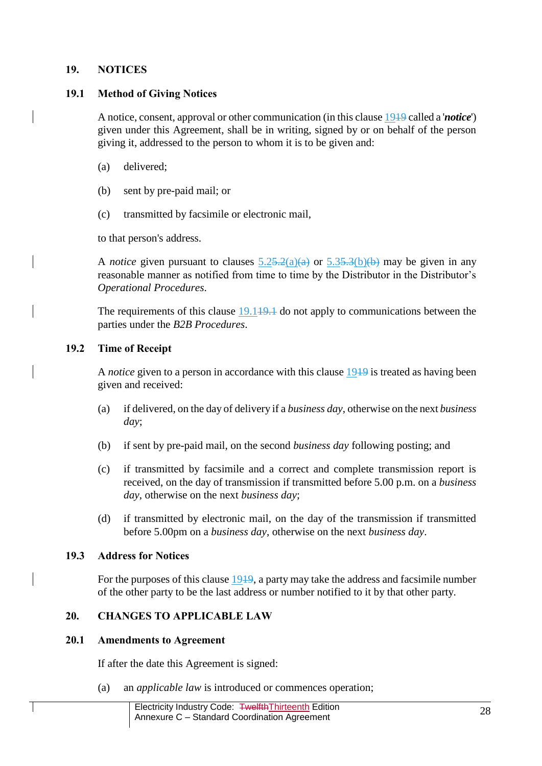### <span id="page-27-0"></span>**19. NOTICES**

### <span id="page-27-1"></span>**19.1 Method of Giving Notices**

A notice, consent, approval or other communication (in this claus[e 1919](#page-27-0) called a '*notice*') given under this Agreement, shall be in writing, signed by or on behalf of the person giving it, addressed to the person to whom it is to be given and:

- (a) delivered;
- (b) sent by pre-paid mail; or
- (c) transmitted by facsimile or electronic mail,

to that person's address.

A *notice* given pursuant to clauses  $5.25.2(a)(a)$  or  $5.35.3(b)(b)$  may be given in any reasonable manner as notified from time to time by the Distributor in the Distributor's *Operational Procedures*.

The requirements of this clause  $19.149.1$  do not apply to communications between the parties under the *B2B Procedures*.

# **19.2 Time of Receipt**

A *notice* given to a person in accordance with this clause [1919](#page-27-0) is treated as having been given and received:

- (a) if delivered, on the day of delivery if a *business day*, otherwise on the next *business day*;
- (b) if sent by pre-paid mail, on the second *business day* following posting; and
- (c) if transmitted by facsimile and a correct and complete transmission report is received, on the day of transmission if transmitted before 5.00 p.m. on a *business day*, otherwise on the next *business day*;
- (d) if transmitted by electronic mail, on the day of the transmission if transmitted before 5.00pm on a *business day*, otherwise on the next *business day*.

# **19.3 Address for Notices**

For the purposes of this clause 1949, a party may take the address and facsimile number of the other party to be the last address or number notified to it by that other party.

# **20. CHANGES TO APPLICABLE LAW**

### <span id="page-27-2"></span>**20.1 Amendments to Agreement**

If after the date this Agreement is signed:

(a) an *applicable law* is introduced or commences operation;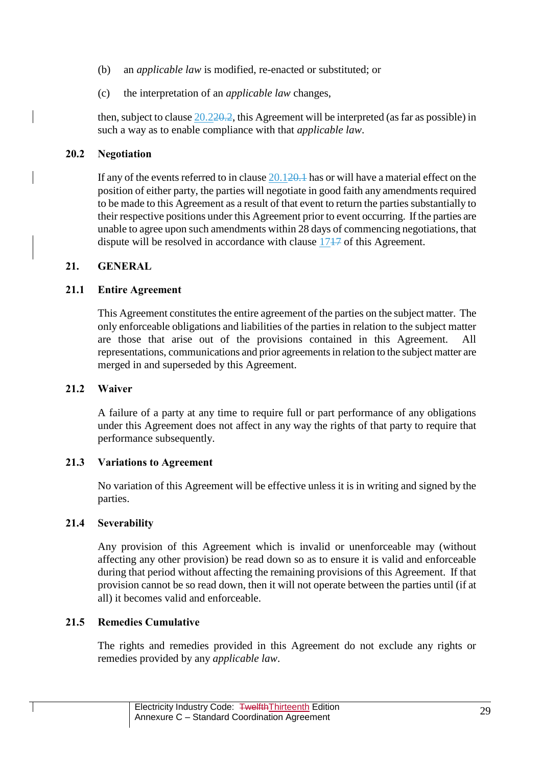- (b) an *applicable law* is modified, re-enacted or substituted; or
- (c) the interpretation of an *applicable law* changes,

then, subject to claus[e 20.220.2,](#page-28-0) this Agreement will be interpreted (as far as possible) in such a way as to enable compliance with that *applicable law*.

### <span id="page-28-0"></span>**20.2 Negotiation**

If any of the events referred to in clause [20.120.1](#page-27-2) has or will have a material effect on the position of either party, the parties will negotiate in good faith any amendments required to be made to this Agreement as a result of that event to return the parties substantially to their respective positions under this Agreement prior to event occurring. If the parties are unable to agree upon such amendments within 28 days of commencing negotiations, that dispute will be resolved in accordance with clause [1717](#page-23-0) of this Agreement.

### **21. GENERAL**

# **21.1 Entire Agreement**

This Agreement constitutes the entire agreement of the parties on the subject matter. The only enforceable obligations and liabilities of the parties in relation to the subject matter are those that arise out of the provisions contained in this Agreement. representations, communications and prior agreements in relation to the subject matter are merged in and superseded by this Agreement.

## **21.2 Waiver**

A failure of a party at any time to require full or part performance of any obligations under this Agreement does not affect in any way the rights of that party to require that performance subsequently.

### **21.3 Variations to Agreement**

No variation of this Agreement will be effective unless it is in writing and signed by the parties.

### **21.4 Severability**

Any provision of this Agreement which is invalid or unenforceable may (without affecting any other provision) be read down so as to ensure it is valid and enforceable during that period without affecting the remaining provisions of this Agreement. If that provision cannot be so read down, then it will not operate between the parties until (if at all) it becomes valid and enforceable.

# **21.5 Remedies Cumulative**

The rights and remedies provided in this Agreement do not exclude any rights or remedies provided by any *applicable law*.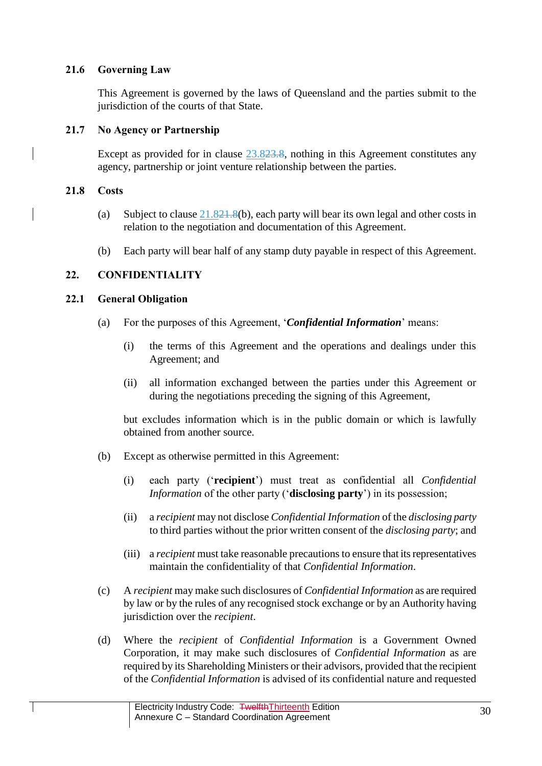# **21.6 Governing Law**

This Agreement is governed by the laws of Queensland and the parties submit to the jurisdiction of the courts of that State.

# **21.7 No Agency or Partnership**

Except as provided for in clause [23.823.8,](#page-32-0) nothing in this Agreement constitutes any agency, partnership or joint venture relationship between the parties.

# <span id="page-29-1"></span>**21.8 Costs**

- (a) Subject to clause  $21.821.8(b)$ , each party will bear its own legal and other costs in relation to the negotiation and documentation of this Agreement.
- (b) Each party will bear half of any stamp duty payable in respect of this Agreement.

# <span id="page-29-2"></span>**22. CONFIDENTIALITY**

# <span id="page-29-0"></span>**22.1 General Obligation**

- (a) For the purposes of this Agreement, '*Confidential Information*' means:
	- (i) the terms of this Agreement and the operations and dealings under this Agreement; and
	- (ii) all information exchanged between the parties under this Agreement or during the negotiations preceding the signing of this Agreement,

but excludes information which is in the public domain or which is lawfully obtained from another source.

- (b) Except as otherwise permitted in this Agreement:
	- (i) each party ('**recipient**') must treat as confidential all *Confidential Information* of the other party ('**disclosing party**') in its possession;
	- (ii) a *recipient* may not disclose *Confidential Information* of the *disclosing party* to third parties without the prior written consent of the *disclosing party*; and
	- (iii) a *recipient* must take reasonable precautions to ensure that its representatives maintain the confidentiality of that *Confidential Information*.
- (c) A *recipient* may make such disclosures of *Confidential Information* as are required by law or by the rules of any recognised stock exchange or by an Authority having jurisdiction over the *recipient*.
- (d) Where the *recipient* of *Confidential Information* is a Government Owned Corporation, it may make such disclosures of *Confidential Information* as are required by its Shareholding Ministers or their advisors, provided that the recipient of the *Confidential Information* is advised of its confidential nature and requested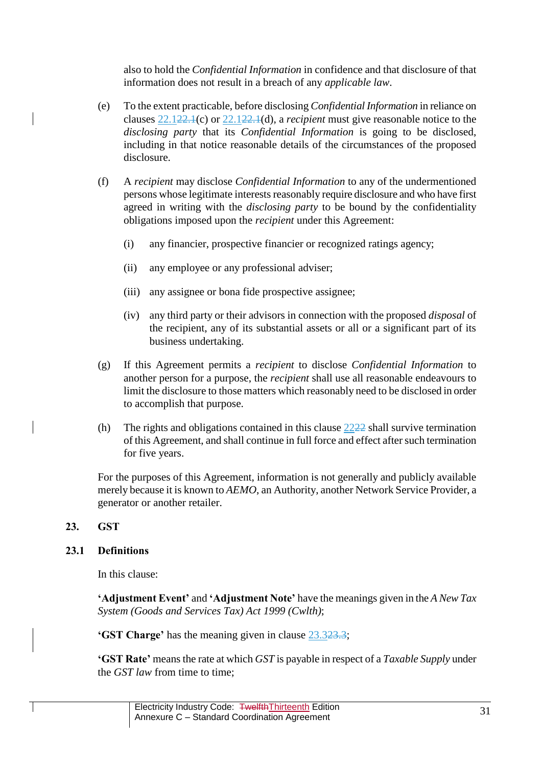also to hold the *Confidential Information* in confidence and that disclosure of that information does not result in a breach of any *applicable law*.

- (e) To the extent practicable, before disclosing *Confidential Information* in reliance on clauses [22.122.1\(](#page-29-0)c) or [22.122.1\(](#page-29-0)d), a *recipient* must give reasonable notice to the *disclosing party* that its *Confidential Information* is going to be disclosed, including in that notice reasonable details of the circumstances of the proposed disclosure.
- (f) A *recipient* may disclose *Confidential Information* to any of the undermentioned persons whose legitimate interests reasonably require disclosure and who have first agreed in writing with the *disclosing party* to be bound by the confidentiality obligations imposed upon the *recipient* under this Agreement:
	- (i) any financier, prospective financier or recognized ratings agency;
	- (ii) any employee or any professional adviser;
	- (iii) any assignee or bona fide prospective assignee;
	- (iv) any third party or their advisors in connection with the proposed *disposal* of the recipient, any of its substantial assets or all or a significant part of its business undertaking.
- (g) If this Agreement permits a *recipient* to disclose *Confidential Information* to another person for a purpose, the *recipient* shall use all reasonable endeavours to limit the disclosure to those matters which reasonably need to be disclosed in order to accomplish that purpose.
- (h) The rights and obligations contained in this clause  $2222$  shall survive termination of this Agreement, and shall continue in full force and effect after such termination for five years.

For the purposes of this Agreement, information is not generally and publicly available merely because it is known to *AEMO*, an Authority, another Network Service Provider, a generator or another retailer.

# <span id="page-30-0"></span>**23. GST**

### **23.1 Definitions**

In this clause:

**'Adjustment Event'** and **'Adjustment Note'** have the meanings given in the *A New Tax System (Goods and Services Tax) Act 1999 (Cwlth)*;

**'GST Charge'** has the meaning given in clause [23.323.3;](#page-31-0)

**'GST Rate'** means the rate at which *GST* is payable in respect of a *Taxable Supply* under the *GST law* from time to time;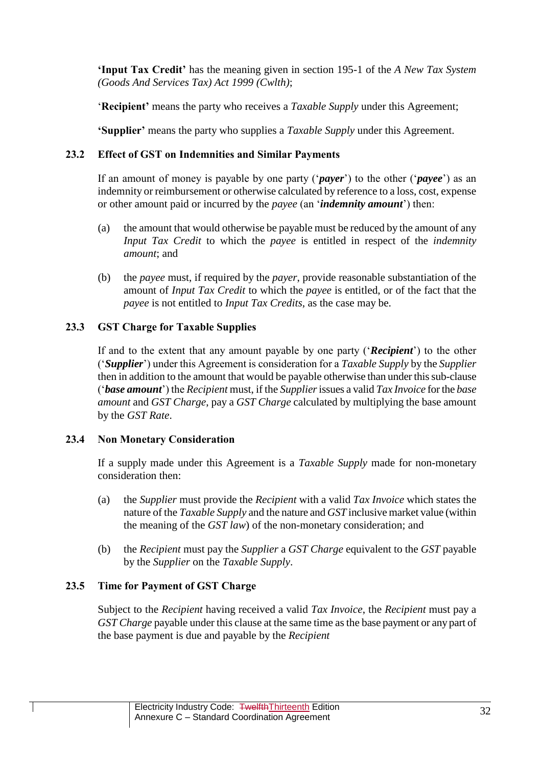**'Input Tax Credit'** has the meaning given in section 195-1 of the *A New Tax System (Goods And Services Tax) Act 1999 (Cwlth)*;

'**Recipient'** means the party who receives a *Taxable Supply* under this Agreement;

**'Supplier'** means the party who supplies a *Taxable Supply* under this Agreement.

# **23.2 Effect of GST on Indemnities and Similar Payments**

If an amount of money is payable by one party ('*payer*') to the other ('*payee*') as an indemnity or reimbursement or otherwise calculated by reference to a loss, cost, expense or other amount paid or incurred by the *payee* (an '*indemnity amount*') then:

- (a) the amount that would otherwise be payable must be reduced by the amount of any *Input Tax Credit* to which the *payee* is entitled in respect of the *indemnity amount*; and
- (b) the *payee* must, if required by the *payer*, provide reasonable substantiation of the amount of *Input Tax Credit* to which the *payee* is entitled, or of the fact that the *payee* is not entitled to *Input Tax Credits*, as the case may be.

# <span id="page-31-0"></span>**23.3 GST Charge for Taxable Supplies**

If and to the extent that any amount payable by one party ('*Recipient*') to the other ('*Supplier*') under this Agreement is consideration for a *Taxable Supply* by the *Supplier* then in addition to the amount that would be payable otherwise than under this sub-clause ('*base amount*') the *Recipient* must, if the *Supplier*issues a valid *Tax Invoice* for the *base amount* and *GST Charge*, pay a *GST Charge* calculated by multiplying the base amount by the *GST Rate*.

# **23.4 Non Monetary Consideration**

If a supply made under this Agreement is a *Taxable Supply* made for non-monetary consideration then:

- (a) the *Supplier* must provide the *Recipient* with a valid *Tax Invoice* which states the nature of the *Taxable Supply* and the nature and *GST* inclusive market value (within the meaning of the *GST law*) of the non-monetary consideration; and
- (b) the *Recipient* must pay the *Supplier* a *GST Charge* equivalent to the *GST* payable by the *Supplier* on the *Taxable Supply*.

# **23.5 Time for Payment of GST Charge**

Subject to the *Recipient* having received a valid *Tax Invoice*, the *Recipient* must pay a *GST Charge* payable under this clause at the same time as the base payment or any part of the base payment is due and payable by the *Recipient*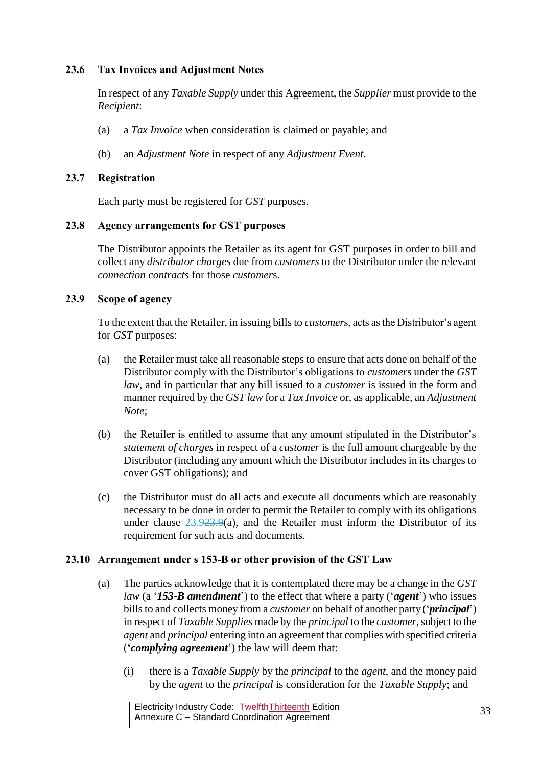# **23.6 Tax Invoices and Adjustment Notes**

In respect of any *Taxable Supply* under this Agreement, the *Supplier* must provide to the *Recipient*:

- (a) a *Tax Invoice* when consideration is claimed or payable; and
- (b) an *Adjustment Note* in respect of any *Adjustment Event*.

# **23.7 Registration**

Each party must be registered for *GST* purposes.

# <span id="page-32-0"></span>**23.8 Agency arrangements for GST purposes**

The Distributor appoints the Retailer as its agent for GST purposes in order to bill and collect any *distributor charges* due from *customers* to the Distributor under the relevant *connection contracts* for those *customer*s.

# <span id="page-32-1"></span>**23.9 Scope of agency**

To the extent that the Retailer, in issuing bills to *customer*s, acts as the Distributor's agent for *GST* purposes:

- (a) the Retailer must take all reasonable steps to ensure that acts done on behalf of the Distributor comply with the Distributor's obligations to *customer*s under the *GST law*, and in particular that any bill issued to a *customer* is issued in the form and manner required by the *GST law* for a *Tax Invoice* or, as applicable, an *Adjustment Note*;
- (b) the Retailer is entitled to assume that any amount stipulated in the Distributor's *statement of charges* in respect of a *customer* is the full amount chargeable by the Distributor (including any amount which the Distributor includes in its charges to cover GST obligations); and
- (c) the Distributor must do all acts and execute all documents which are reasonably necessary to be done in order to permit the Retailer to comply with its obligations under clause  $23.923.9(a)$ , and the Retailer must inform the Distributor of its requirement for such acts and documents.

# **23.10 Arrangement under s 153-B or other provision of the GST Law**

- (a) The parties acknowledge that it is contemplated there may be a change in the *GST law* (a '*153-B amendment*') to the effect that where a party ('*agent*') who issues bills to and collects money from a *customer* on behalf of another party ('*principal*') in respect of *Taxable Supplies* made by the *principal* to the *customer*, subject to the *agent* and *principal* entering into an agreement that complies with specified criteria ('*complying agreement*') the law will deem that:
	- (i) there is a *Taxable Supply* by the *principal* to the *agent*, and the money paid by the *agent* to the *principal* is consideration for the *Taxable Supply*; and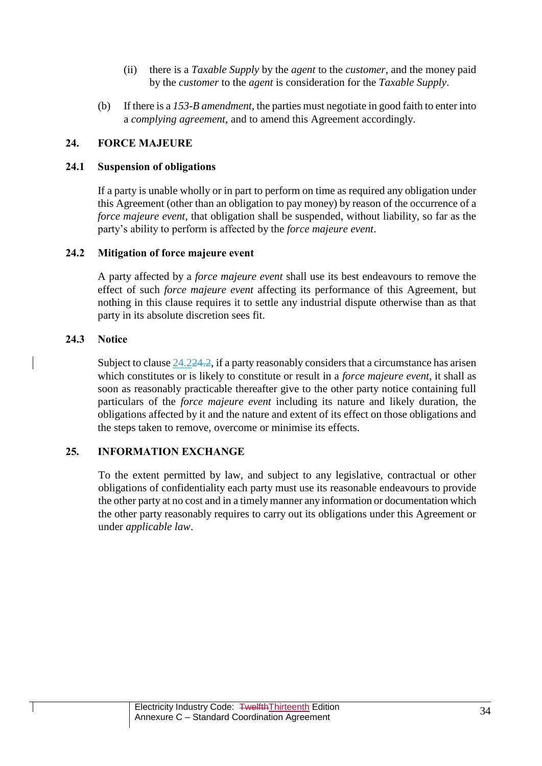- (ii) there is a *Taxable Supply* by the *agent* to the *customer*, and the money paid by the *customer* to the *agent* is consideration for the *Taxable Supply*.
- (b) If there is a *153-B amendment*, the parties must negotiate in good faith to enter into a *complying agreement*, and to amend this Agreement accordingly.

# **24. FORCE MAJEURE**

# **24.1 Suspension of obligations**

If a party is unable wholly or in part to perform on time as required any obligation under this Agreement (other than an obligation to pay money) by reason of the occurrence of a *force majeure event*, that obligation shall be suspended, without liability, so far as the party's ability to perform is affected by the *force majeure event*.

### <span id="page-33-0"></span>**24.2 Mitigation of force majeure event**

A party affected by a *force majeure event* shall use its best endeavours to remove the effect of such *force majeure event* affecting its performance of this Agreement, but nothing in this clause requires it to settle any industrial dispute otherwise than as that party in its absolute discretion sees fit.

### **24.3 Notice**

Subject to clause [24.224.2,](#page-33-0) if a party reasonably considers that a circumstance has arisen which constitutes or is likely to constitute or result in a *force majeure event*, it shall as soon as reasonably practicable thereafter give to the other party notice containing full particulars of the *force majeure event* including its nature and likely duration, the obligations affected by it and the nature and extent of its effect on those obligations and the steps taken to remove, overcome or minimise its effects.

### **25. INFORMATION EXCHANGE**

To the extent permitted by law, and subject to any legislative, contractual or other obligations of confidentiality each party must use its reasonable endeavours to provide the other party at no cost and in a timely manner any information or documentation which the other party reasonably requires to carry out its obligations under this Agreement or under *applicable law*.